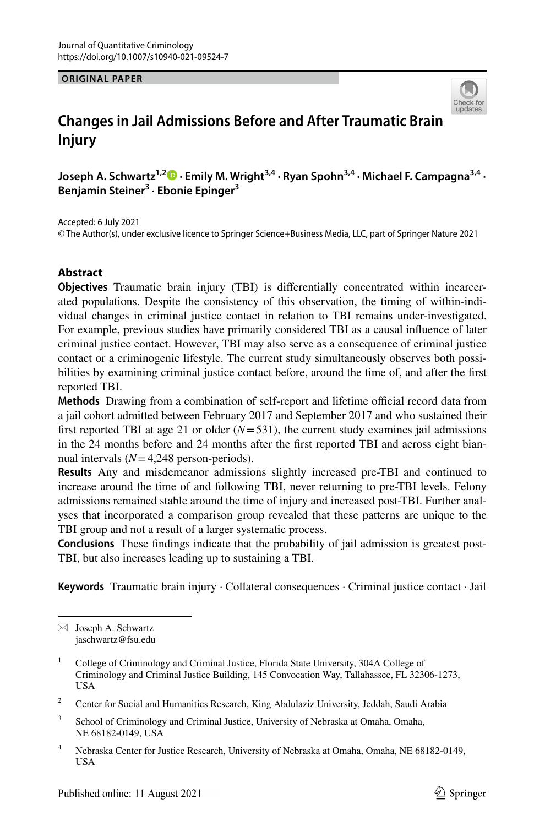**ORIGINAL PAPER**



# **Changes in Jail Admissions Before and After Traumatic Brain Injury**

**Joseph A. Schwartz1,2  [·](http://orcid.org/0000-0001-5777-0573) Emily M. Wright3,4 · Ryan Spohn3,4 · Michael F. Campagna3,4 · Benjamin Steiner<sup>3</sup> · Ebonie Epinger<sup>3</sup>**

Accepted: 6 July 2021 © The Author(s), under exclusive licence to Springer Science+Business Media, LLC, part of Springer Nature 2021

### **Abstract**

**Objectives** Traumatic brain injury (TBI) is differentially concentrated within incarcerated populations. Despite the consistency of this observation, the timing of within-individual changes in criminal justice contact in relation to TBI remains under-investigated. For example, previous studies have primarily considered TBI as a causal influence of later criminal justice contact. However, TBI may also serve as a consequence of criminal justice contact or a criminogenic lifestyle. The current study simultaneously observes both possibilities by examining criminal justice contact before, around the time of, and after the first reported TBI.

**Methods** Drawing from a combination of self-report and lifetime official record data from a jail cohort admitted between February 2017 and September 2017 and who sustained their first reported TBI at age 21 or older  $(N=531)$ , the current study examines jail admissions in the 24 months before and 24 months after the first reported TBI and across eight biannual intervals  $(N=4,248$  person-periods).

**Results** Any and misdemeanor admissions slightly increased pre-TBI and continued to increase around the time of and following TBI, never returning to pre-TBI levels. Felony admissions remained stable around the time of injury and increased post-TBI. Further analyses that incorporated a comparison group revealed that these patterns are unique to the TBI group and not a result of a larger systematic process.

**Conclusions** These findings indicate that the probability of jail admission is greatest post-TBI, but also increases leading up to sustaining a TBI.

**Keywords** Traumatic brain injury · Collateral consequences · Criminal justice contact · Jail

 $\boxtimes$  Joseph A. Schwartz jaschwartz@fsu.edu

<sup>1</sup> College of Criminology and Criminal Justice, Florida State University, 304A College of Criminology and Criminal Justice Building, 145 Convocation Way, Tallahassee, FL 32306-1273, USA

<sup>2</sup> Center for Social and Humanities Research, King Abdulaziz University, Jeddah, Saudi Arabia

<sup>3</sup> School of Criminology and Criminal Justice, University of Nebraska at Omaha, Omaha, NE 68182-0149, USA

<sup>4</sup> Nebraska Center for Justice Research, University of Nebraska at Omaha, Omaha, NE 68182-0149, USA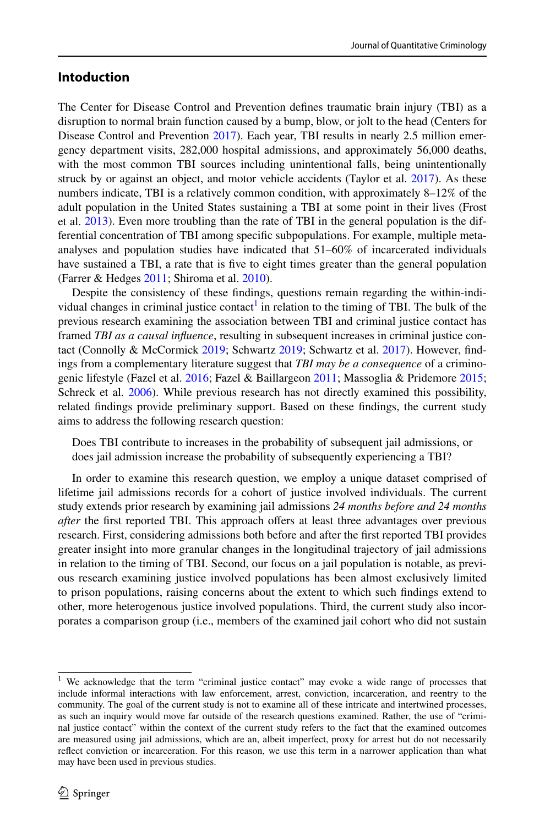### **Intoduction**

The Center for Disease Control and Prevention defines traumatic brain injury (TBI) as a disruption to normal brain function caused by a bump, blow, or jolt to the head (Centers for Disease Control and Prevention [2017\)](#page-20-0). Each year, TBI results in nearly 2.5 million emergency department visits, 282,000 hospital admissions, and approximately 56,000 deaths, with the most common TBI sources including unintentional falls, being unintentionally struck by or against an object, and motor vehicle accidents (Taylor et al. [2017\)](#page-22-0). As these numbers indicate, TBI is a relatively common condition, with approximately 8–12% of the adult population in the United States sustaining a TBI at some point in their lives (Frost et al. [2013](#page-21-0)). Even more troubling than the rate of TBI in the general population is the differential concentration of TBI among specific subpopulations. For example, multiple metaanalyses and population studies have indicated that 51–60% of incarcerated individuals have sustained a TBI, a rate that is five to eight times greater than the general population (Farrer & Hedges [2011](#page-20-1); Shiroma et al. [2010](#page-22-1)).

Despite the consistency of these findings, questions remain regarding the within-indi-vidual changes in criminal justice contact<sup>[1](#page-1-0)</sup> in relation to the timing of TBI. The bulk of the previous research examining the association between TBI and criminal justice contact has framed *TBI as a causal influence*, resulting in subsequent increases in criminal justice contact (Connolly & McCormick [2019;](#page-20-2) Schwartz [2019](#page-22-2); Schwartz et al. [2017\)](#page-22-3). However, findings from a complementary literature suggest that *TBI may be a consequence* of a criminogenic lifestyle (Fazel et al. [2016](#page-21-1); Fazel & Baillargeon [2011](#page-20-3); Massoglia & Pridemore [2015;](#page-21-2) Schreck et al. [2006\)](#page-22-4). While previous research has not directly examined this possibility, related findings provide preliminary support. Based on these findings, the current study aims to address the following research question:

Does TBI contribute to increases in the probability of subsequent jail admissions, or does jail admission increase the probability of subsequently experiencing a TBI?

In order to examine this research question, we employ a unique dataset comprised of lifetime jail admissions records for a cohort of justice involved individuals. The current study extends prior research by examining jail admissions *24 months before and 24 months after* the first reported TBI. This approach offers at least three advantages over previous research. First, considering admissions both before and after the first reported TBI provides greater insight into more granular changes in the longitudinal trajectory of jail admissions in relation to the timing of TBI. Second, our focus on a jail population is notable, as previous research examining justice involved populations has been almost exclusively limited to prison populations, raising concerns about the extent to which such findings extend to other, more heterogenous justice involved populations. Third, the current study also incorporates a comparison group (i.e., members of the examined jail cohort who did not sustain

<span id="page-1-0"></span><sup>&</sup>lt;sup>1</sup> We acknowledge that the term "criminal justice contact" may evoke a wide range of processes that include informal interactions with law enforcement, arrest, conviction, incarceration, and reentry to the community. The goal of the current study is not to examine all of these intricate and intertwined processes, as such an inquiry would move far outside of the research questions examined. Rather, the use of "criminal justice contact" within the context of the current study refers to the fact that the examined outcomes are measured using jail admissions, which are an, albeit imperfect, proxy for arrest but do not necessarily reflect conviction or incarceration. For this reason, we use this term in a narrower application than what may have been used in previous studies.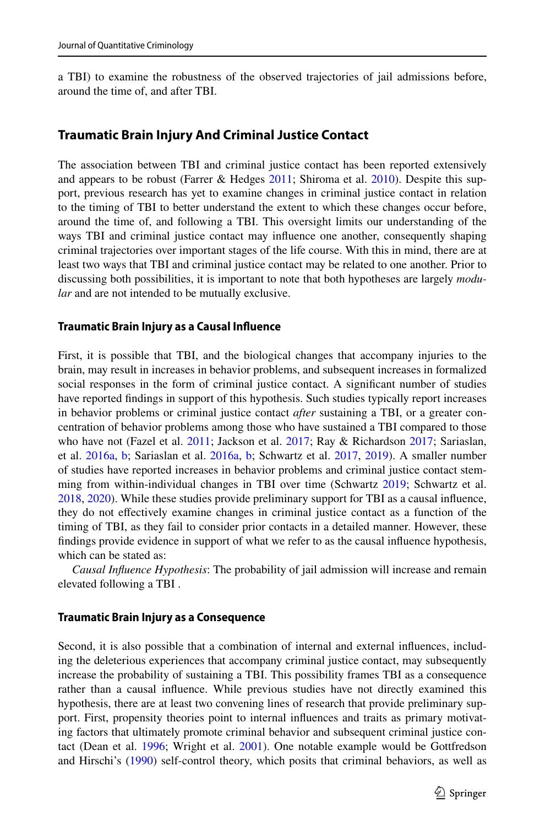a TBI) to examine the robustness of the observed trajectories of jail admissions before, around the time of, and after TBI.

#### **Traumatic Brain Injury And Criminal Justice Contact**

The association between TBI and criminal justice contact has been reported extensively and appears to be robust (Farrer & Hedges [2011](#page-20-1); Shiroma et al. [2010](#page-22-1)). Despite this support, previous research has yet to examine changes in criminal justice contact in relation to the timing of TBI to better understand the extent to which these changes occur before, around the time of, and following a TBI. This oversight limits our understanding of the ways TBI and criminal justice contact may influence one another, consequently shaping criminal trajectories over important stages of the life course. With this in mind, there are at least two ways that TBI and criminal justice contact may be related to one another. Prior to discussing both possibilities, it is important to note that both hypotheses are largely *modular* and are not intended to be mutually exclusive.

#### **Traumatic Brain Injury as a Causal Influence**

First, it is possible that TBI, and the biological changes that accompany injuries to the brain, may result in increases in behavior problems, and subsequent increases in formalized social responses in the form of criminal justice contact. A significant number of studies have reported findings in support of this hypothesis. Such studies typically report increases in behavior problems or criminal justice contact *after* sustaining a TBI, or a greater concentration of behavior problems among those who have sustained a TBI compared to those who have not (Fazel et al. [2011;](#page-21-3) Jackson et al. [2017;](#page-21-4) Ray & Richardson [2017](#page-21-5); Sariaslan, et al. [2016a](#page-22-5), [b;](#page-22-6) Sariaslan et al. [2016a,](#page-22-5) [b](#page-22-6); Schwartz et al. [2017,](#page-22-3) [2019](#page-22-7)). A smaller number of studies have reported increases in behavior problems and criminal justice contact stemming from within-individual changes in TBI over time (Schwartz [2019;](#page-22-2) Schwartz et al. [2018,](#page-22-8) [2020](#page-22-9)). While these studies provide preliminary support for TBI as a causal influence, they do not effectively examine changes in criminal justice contact as a function of the timing of TBI, as they fail to consider prior contacts in a detailed manner. However, these findings provide evidence in support of what we refer to as the causal influence hypothesis, which can be stated as:

*Causal Influence Hypothesis*: The probability of jail admission will increase and remain elevated following a TBI .

#### **Traumatic Brain Injury as a Consequence**

Second, it is also possible that a combination of internal and external influences, including the deleterious experiences that accompany criminal justice contact, may subsequently increase the probability of sustaining a TBI. This possibility frames TBI as a consequence rather than a causal influence. While previous studies have not directly examined this hypothesis, there are at least two convening lines of research that provide preliminary support. First, propensity theories point to internal influences and traits as primary motivating factors that ultimately promote criminal behavior and subsequent criminal justice con-tact (Dean et al. [1996](#page-20-4); Wright et al. [2001](#page-23-0)). One notable example would be Gottfredson and Hirschi's ([1990\)](#page-21-6) self-control theory, which posits that criminal behaviors, as well as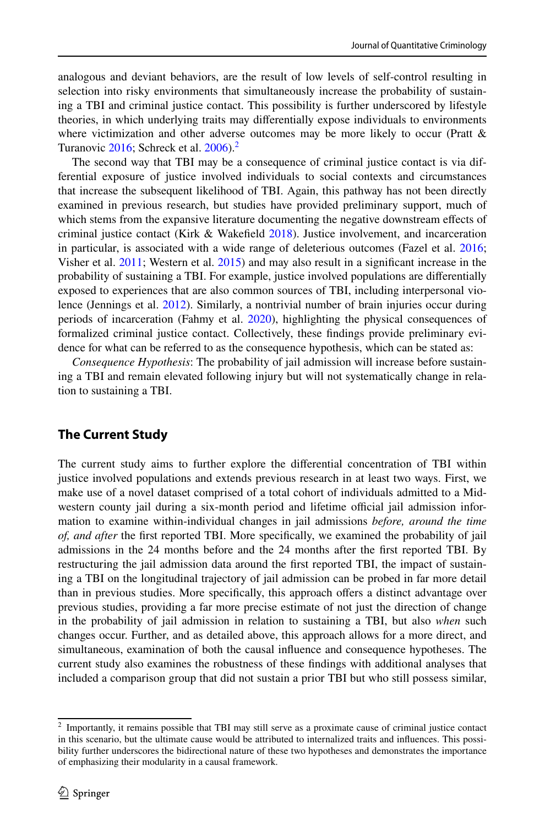analogous and deviant behaviors, are the result of low levels of self-control resulting in selection into risky environments that simultaneously increase the probability of sustaining a TBI and criminal justice contact. This possibility is further underscored by lifestyle theories, in which underlying traits may differentially expose individuals to environments where victimization and other adverse outcomes may be more likely to occur (Pratt  $\&$ Turanovic  $2016$  $2016$ : Schreck et al.  $2006$ ).<sup>2</sup>

The second way that TBI may be a consequence of criminal justice contact is via differential exposure of justice involved individuals to social contexts and circumstances that increase the subsequent likelihood of TBI. Again, this pathway has not been directly examined in previous research, but studies have provided preliminary support, much of which stems from the expansive literature documenting the negative downstream effects of criminal justice contact (Kirk & Wakefield [2018](#page-21-8)). Justice involvement, and incarceration in particular, is associated with a wide range of deleterious outcomes (Fazel et al. [2016;](#page-21-1) Visher et al. [2011](#page-22-10); Western et al. [2015\)](#page-22-11) and may also result in a significant increase in the probability of sustaining a TBI. For example, justice involved populations are differentially exposed to experiences that are also common sources of TBI, including interpersonal violence (Jennings et al. [2012](#page-21-9)). Similarly, a nontrivial number of brain injuries occur during periods of incarceration (Fahmy et al. [2020\)](#page-20-5), highlighting the physical consequences of formalized criminal justice contact. Collectively, these findings provide preliminary evidence for what can be referred to as the consequence hypothesis, which can be stated as:

*Consequence Hypothesis*: The probability of jail admission will increase before sustaining a TBI and remain elevated following injury but will not systematically change in relation to sustaining a TBI.

# **The Current Study**

The current study aims to further explore the differential concentration of TBI within justice involved populations and extends previous research in at least two ways. First, we make use of a novel dataset comprised of a total cohort of individuals admitted to a Midwestern county jail during a six-month period and lifetime official jail admission information to examine within-individual changes in jail admissions *before, around the time of, and after* the first reported TBI. More specifically, we examined the probability of jail admissions in the 24 months before and the 24 months after the first reported TBI. By restructuring the jail admission data around the first reported TBI, the impact of sustaining a TBI on the longitudinal trajectory of jail admission can be probed in far more detail than in previous studies. More specifically, this approach offers a distinct advantage over previous studies, providing a far more precise estimate of not just the direction of change in the probability of jail admission in relation to sustaining a TBI, but also *when* such changes occur. Further, and as detailed above, this approach allows for a more direct, and simultaneous, examination of both the causal influence and consequence hypotheses. The current study also examines the robustness of these findings with additional analyses that included a comparison group that did not sustain a prior TBI but who still possess similar,

<span id="page-3-0"></span><sup>&</sup>lt;sup>2</sup> Importantly, it remains possible that TBI may still serve as a proximate cause of criminal justice contact in this scenario, but the ultimate cause would be attributed to internalized traits and influences. This possibility further underscores the bidirectional nature of these two hypotheses and demonstrates the importance of emphasizing their modularity in a causal framework.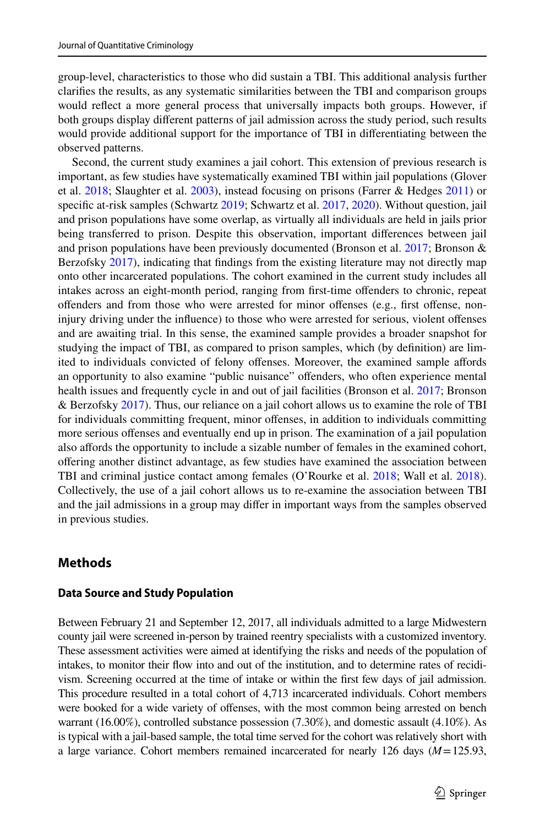group-level, characteristics to those who did sustain a TBI. This additional analysis further clarifies the results, as any systematic similarities between the TBI and comparison groups would reflect a more general process that universally impacts both groups. However, if both groups display different patterns of jail admission across the study period, such results would provide additional support for the importance of TBI in differentiating between the observed patterns.

Second, the current study examines a jail cohort. This extension of previous research is important, as few studies have systematically examined TBI within jail populations (Glover et al. [2018](#page-21-10); Slaughter et al. [2003\)](#page-22-12), instead focusing on prisons (Farrer & Hedges [2011\)](#page-20-1) or specific at-risk samples (Schwartz [2019](#page-22-2); Schwartz et al. [2017](#page-22-3), [2020\)](#page-22-9). Without question, jail and prison populations have some overlap, as virtually all individuals are held in jails prior being transferred to prison. Despite this observation, important differences between jail and prison populations have been previously documented (Bronson et al. [2017](#page-20-6); Bronson  $\&$ Berzofsky [2017](#page-20-7)), indicating that findings from the existing literature may not directly map onto other incarcerated populations. The cohort examined in the current study includes all intakes across an eight-month period, ranging from first-time offenders to chronic, repeat offenders and from those who were arrested for minor offenses (e.g., first offense, noninjury driving under the influence) to those who were arrested for serious, violent offenses and are awaiting trial. In this sense, the examined sample provides a broader snapshot for studying the impact of TBI, as compared to prison samples, which (by definition) are limited to individuals convicted of felony offenses. Moreover, the examined sample affords an opportunity to also examine "public nuisance" offenders, who often experience mental health issues and frequently cycle in and out of jail facilities (Bronson et al. [2017](#page-20-6); Bronson & Berzofsky [2017\)](#page-20-7). Thus, our reliance on a jail cohort allows us to examine the role of TBI for individuals committing frequent, minor offenses, in addition to individuals committing more serious offenses and eventually end up in prison. The examination of a jail population also affords the opportunity to include a sizable number of females in the examined cohort, offering another distinct advantage, as few studies have examined the association between TBI and criminal justice contact among females (O'Rourke et al. [2018;](#page-21-11) Wall et al. [2018](#page-22-13)). Collectively, the use of a jail cohort allows us to re-examine the association between TBI and the jail admissions in a group may differ in important ways from the samples observed in previous studies.

# **Methods**

#### **Data Source and Study Population**

Between February 21 and September 12, 2017, all individuals admitted to a large Midwestern county jail were screened in-person by trained reentry specialists with a customized inventory. These assessment activities were aimed at identifying the risks and needs of the population of intakes, to monitor their flow into and out of the institution, and to determine rates of recidivism. Screening occurred at the time of intake or within the first few days of jail admission. This procedure resulted in a total cohort of 4,713 incarcerated individuals. Cohort members were booked for a wide variety of offenses, with the most common being arrested on bench warrant (16.00%), controlled substance possession (7.30%), and domestic assault (4.10%). As is typical with a jail-based sample, the total time served for the cohort was relatively short with a large variance. Cohort members remained incarcerated for nearly 126 days (*M* = 125.93,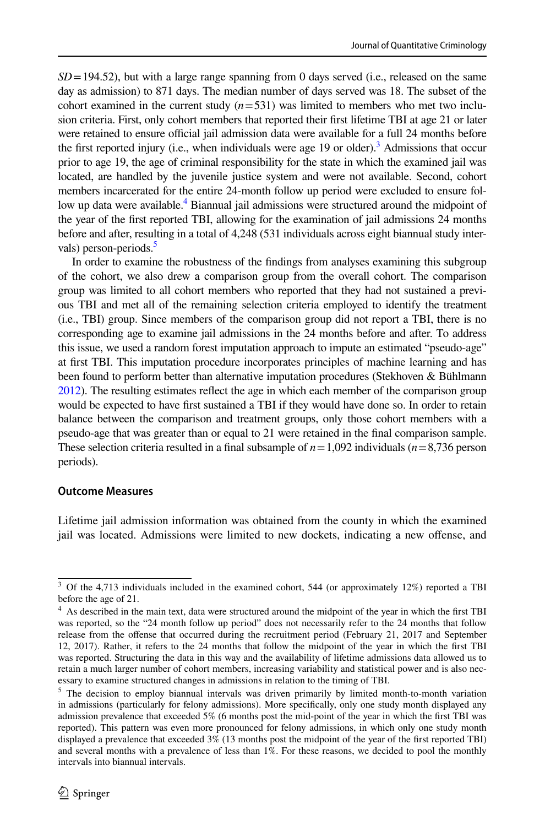$SD = 194.52$ ), but with a large range spanning from 0 days served (i.e., released on the same day as admission) to 871 days. The median number of days served was 18. The subset of the cohort examined in the current study  $(n=531)$  was limited to members who met two inclusion criteria. First, only cohort members that reported their first lifetime TBI at age 21 or later were retained to ensure official jail admission data were available for a full 24 months before the first reported injury (i.e., when individuals were age 19 or older).<sup>[3](#page-5-0)</sup> Admissions that occur prior to age 19, the age of criminal responsibility for the state in which the examined jail was located, are handled by the juvenile justice system and were not available. Second, cohort members incarcerated for the entire 24-month follow up period were excluded to ensure fol-low up data were available.<sup>[4](#page-5-1)</sup> Biannual jail admissions were structured around the midpoint of the year of the first reported TBI, allowing for the examination of jail admissions 24 months before and after, resulting in a total of 4,248 (531 individuals across eight biannual study inter-vals) person-periods.<sup>[5](#page-5-2)</sup>

In order to examine the robustness of the findings from analyses examining this subgroup of the cohort, we also drew a comparison group from the overall cohort. The comparison group was limited to all cohort members who reported that they had not sustained a previous TBI and met all of the remaining selection criteria employed to identify the treatment (i.e., TBI) group. Since members of the comparison group did not report a TBI, there is no corresponding age to examine jail admissions in the 24 months before and after. To address this issue, we used a random forest imputation approach to impute an estimated "pseudo-age" at first TBI. This imputation procedure incorporates principles of machine learning and has been found to perform better than alternative imputation procedures (Stekhoven & Bühlmann [2012](#page-22-14)). The resulting estimates reflect the age in which each member of the comparison group would be expected to have first sustained a TBI if they would have done so. In order to retain balance between the comparison and treatment groups, only those cohort members with a pseudo-age that was greater than or equal to 21 were retained in the final comparison sample. These selection criteria resulted in a final subsample of  $n = 1,092$  individuals ( $n = 8,736$  person periods).

#### **Outcome Measures**

Lifetime jail admission information was obtained from the county in which the examined jail was located. Admissions were limited to new dockets, indicating a new offense, and

<span id="page-5-0"></span><sup>&</sup>lt;sup>3</sup> Of the 4,713 individuals included in the examined cohort, 544 (or approximately 12%) reported a TBI before the age of 21.

<span id="page-5-1"></span><sup>4</sup> As described in the main text, data were structured around the midpoint of the year in which the first TBI was reported, so the "24 month follow up period" does not necessarily refer to the 24 months that follow release from the offense that occurred during the recruitment period (February 21, 2017 and September 12, 2017). Rather, it refers to the 24 months that follow the midpoint of the year in which the first TBI was reported. Structuring the data in this way and the availability of lifetime admissions data allowed us to retain a much larger number of cohort members, increasing variability and statistical power and is also necessary to examine structured changes in admissions in relation to the timing of TBI.

<span id="page-5-2"></span><sup>&</sup>lt;sup>5</sup> The decision to employ biannual intervals was driven primarily by limited month-to-month variation in admissions (particularly for felony admissions). More specifically, only one study month displayed any admission prevalence that exceeded 5% (6 months post the mid-point of the year in which the first TBI was reported). This pattern was even more pronounced for felony admissions, in which only one study month displayed a prevalence that exceeded 3% (13 months post the midpoint of the year of the first reported TBI) and several months with a prevalence of less than 1%. For these reasons, we decided to pool the monthly intervals into biannual intervals.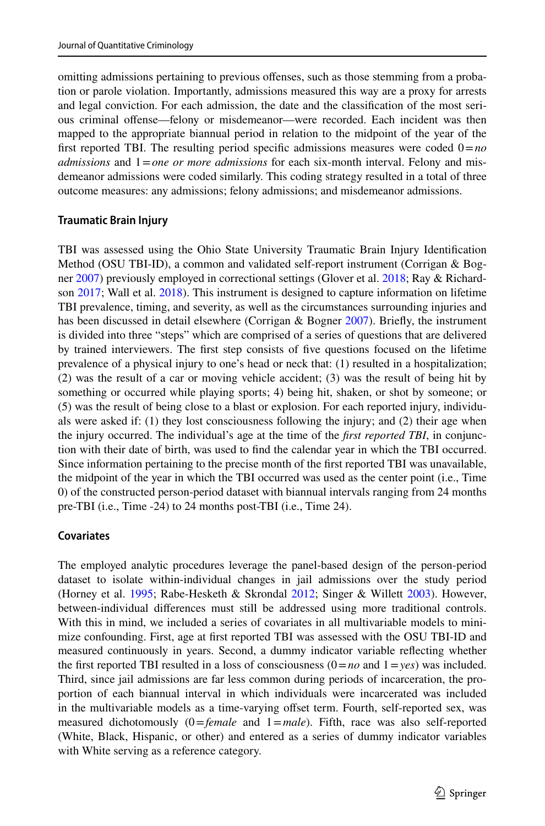omitting admissions pertaining to previous offenses, such as those stemming from a probation or parole violation. Importantly, admissions measured this way are a proxy for arrests and legal conviction. For each admission, the date and the classification of the most serious criminal offense—felony or misdemeanor—were recorded. Each incident was then mapped to the appropriate biannual period in relation to the midpoint of the year of the first reported TBI. The resulting period specific admissions measures were coded  $0 = no$ *admissions* and  $1 = one$  *or more admissions* for each six-month interval. Felony and misdemeanor admissions were coded similarly. This coding strategy resulted in a total of three outcome measures: any admissions; felony admissions; and misdemeanor admissions.

#### **Traumatic Brain Injury**

TBI was assessed using the Ohio State University Traumatic Brain Injury Identification Method (OSU TBI-ID), a common and validated self-report instrument (Corrigan & Bogner [2007](#page-20-8)) previously employed in correctional settings (Glover et al. [2018](#page-21-10); Ray & Richardson [2017;](#page-21-5) Wall et al. [2018](#page-22-13)). This instrument is designed to capture information on lifetime TBI prevalence, timing, and severity, as well as the circumstances surrounding injuries and has been discussed in detail elsewhere (Corrigan & Bogner [2007\)](#page-20-8). Briefly, the instrument is divided into three "steps" which are comprised of a series of questions that are delivered by trained interviewers. The first step consists of five questions focused on the lifetime prevalence of a physical injury to one's head or neck that: (1) resulted in a hospitalization; (2) was the result of a car or moving vehicle accident; (3) was the result of being hit by something or occurred while playing sports; 4) being hit, shaken, or shot by someone; or (5) was the result of being close to a blast or explosion. For each reported injury, individuals were asked if: (1) they lost consciousness following the injury; and (2) their age when the injury occurred. The individual's age at the time of the *first reported TBI*, in conjunction with their date of birth, was used to find the calendar year in which the TBI occurred. Since information pertaining to the precise month of the first reported TBI was unavailable, the midpoint of the year in which the TBI occurred was used as the center point (i.e., Time 0) of the constructed person-period dataset with biannual intervals ranging from 24 months pre-TBI (i.e., Time -24) to 24 months post-TBI (i.e., Time 24).

#### **Covariates**

The employed analytic procedures leverage the panel-based design of the person-period dataset to isolate within-individual changes in jail admissions over the study period (Horney et al. [1995;](#page-21-12) Rabe-Hesketh & Skrondal [2012](#page-21-13); Singer & Willett [2003\)](#page-22-15). However, between-individual differences must still be addressed using more traditional controls. With this in mind, we included a series of covariates in all multivariable models to minimize confounding. First, age at first reported TBI was assessed with the OSU TBI-ID and measured continuously in years. Second, a dummy indicator variable reflecting whether the first reported TBI resulted in a loss of consciousness  $(0 = no$  and  $1 = yes)$  was included. Third, since jail admissions are far less common during periods of incarceration, the proportion of each biannual interval in which individuals were incarcerated was included in the multivariable models as a time-varying offset term. Fourth, self-reported sex, was measured dichotomously  $(0)$ =*female* and 1=*male*). Fifth, race was also self-reported (White, Black, Hispanic, or other) and entered as a series of dummy indicator variables with White serving as a reference category.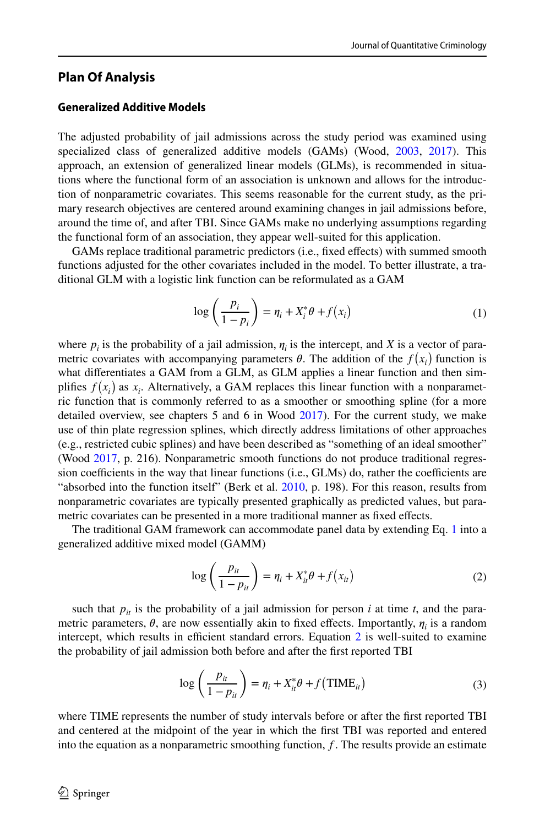### **Plan Of Analysis**

#### **Generalized Additive Models**

The adjusted probability of jail admissions across the study period was examined using specialized class of generalized additive models (GAMs) (Wood, [2003](#page-22-16), [2017\)](#page-23-1). This approach, an extension of generalized linear models (GLMs), is recommended in situations where the functional form of an association is unknown and allows for the introduction of nonparametric covariates. This seems reasonable for the current study, as the primary research objectives are centered around examining changes in jail admissions before, around the time of, and after TBI. Since GAMs make no underlying assumptions regarding the functional form of an association, they appear well-suited for this application.

GAMs replace traditional parametric predictors (i.e., fixed effects) with summed smooth functions adjusted for the other covariates included in the model. To better illustrate, a traditional GLM with a logistic link function can be reformulated as a GAM

<span id="page-7-0"></span>
$$
\log\left(\frac{p_i}{1-p_i}\right) = \eta_i + X_i^* \theta + f(x_i)
$$
 (1)

where  $p_i$  is the probability of a jail admission,  $\eta_i$  is the intercept, and *X* is a vector of parametric covariates with accompanying parameters  $\theta$ . The addition of the  $f(x_i)$  function is what differentiates a GAM from a GLM, as GLM applies a linear function and then simplifies  $f(x_i)$  as  $x_i$ . Alternatively, a GAM replaces this linear function with a nonparametric function that is commonly referred to as a smoother or smoothing spline (for a more detailed overview, see chapters 5 and 6 in Wood [2017\)](#page-23-1). For the current study, we make use of thin plate regression splines, which directly address limitations of other approaches (e.g., restricted cubic splines) and have been described as "something of an ideal smoother" (Wood [2017,](#page-23-1) p. 216). Nonparametric smooth functions do not produce traditional regression coefficients in the way that linear functions (i.e., GLMs) do, rather the coefficients are "absorbed into the function itself" (Berk et al. [2010](#page-20-9), p. 198). For this reason, results from nonparametric covariates are typically presented graphically as predicted values, but parametric covariates can be presented in a more traditional manner as fixed effects.

The traditional GAM framework can accommodate panel data by extending Eq. [1](#page-7-0) into a generalized additive mixed model (GAMM)

<span id="page-7-1"></span>
$$
\log\left(\frac{p_{it}}{1-p_{it}}\right) = \eta_i + X_{it}^* \theta + f(x_{it})
$$
\n(2)

such that  $p_{it}$  is the probability of a jail admission for person *i* at time *t*, and the parametric parameters,  $\theta$ , are now essentially akin to fixed effects. Importantly,  $\eta_i$  is a random intercept, which results in efficient standard errors. Equation [2](#page-7-1) is well-suited to examine the probability of jail admission both before and after the first reported TBI

<span id="page-7-2"></span>
$$
\log\left(\frac{p_{it}}{1-p_{it}}\right) = \eta_i + X_{it}^* \theta + f\left(\text{TIME}_{it}\right)
$$
\n(3)

where TIME represents the number of study intervals before or after the first reported TBI and centered at the midpoint of the year in which the first TBI was reported and entered into the equation as a nonparametric smoothing function, *f* . The results provide an estimate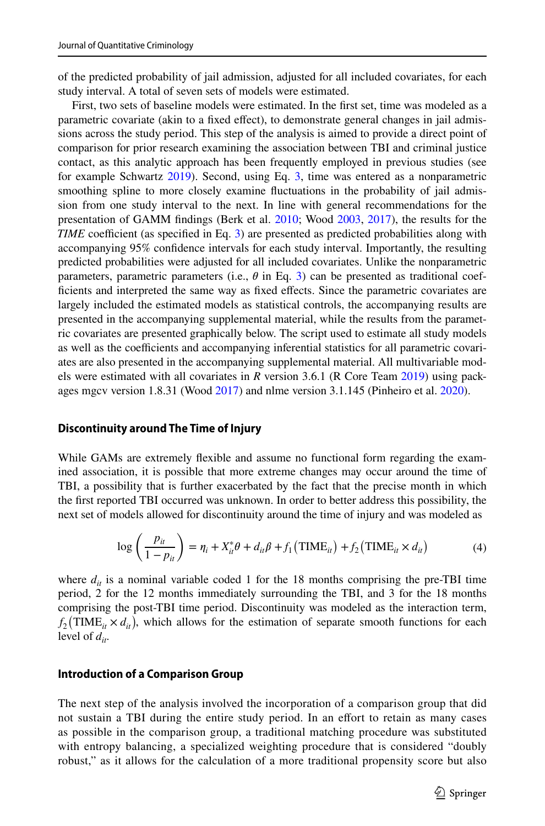of the predicted probability of jail admission, adjusted for all included covariates, for each study interval. A total of seven sets of models were estimated.

First, two sets of baseline models were estimated. In the first set, time was modeled as a parametric covariate (akin to a fixed effect), to demonstrate general changes in jail admissions across the study period. This step of the analysis is aimed to provide a direct point of comparison for prior research examining the association between TBI and criminal justice contact, as this analytic approach has been frequently employed in previous studies (see for example Schwartz [2019](#page-22-2)). Second, using Eq. [3,](#page-7-2) time was entered as a nonparametric smoothing spline to more closely examine fluctuations in the probability of jail admission from one study interval to the next. In line with general recommendations for the presentation of GAMM findings (Berk et al. [2010;](#page-20-9) Wood [2003](#page-22-16), [2017\)](#page-23-1), the results for the *TIME* coefficient (as specified in Eq. [3](#page-7-2)) are presented as predicted probabilities along with accompanying 95% confidence intervals for each study interval. Importantly, the resulting predicted probabilities were adjusted for all included covariates. Unlike the nonparametric parameters, parametric parameters (i.e.,  $\theta$  in Eq. [3\)](#page-7-2) can be presented as traditional coefficients and interpreted the same way as fixed effects. Since the parametric covariates are largely included the estimated models as statistical controls, the accompanying results are presented in the accompanying supplemental material, while the results from the parametric covariates are presented graphically below. The script used to estimate all study models as well as the coefficients and accompanying inferential statistics for all parametric covariates are also presented in the accompanying supplemental material. All multivariable models were estimated with all covariates in *R* version 3.6.1 (R Core Team [2019\)](#page-21-14) using packages mgcv version 1.8.31 (Wood [2017\)](#page-23-1) and nlme version 3.1.145 (Pinheiro et al. [2020](#page-21-15)).

#### **Discontinuity around The Time of Injury**

While GAMs are extremely flexible and assume no functional form regarding the examined association, it is possible that more extreme changes may occur around the time of TBI, a possibility that is further exacerbated by the fact that the precise month in which the first reported TBI occurred was unknown. In order to better address this possibility, the next set of models allowed for discontinuity around the time of injury and was modeled as

<span id="page-8-0"></span>
$$
\log\left(\frac{p_{it}}{1-p_{it}}\right) = \eta_i + X_{it}^* \theta + d_{it} \beta + f_1 \left(\text{TIME}_{it}\right) + f_2 \left(\text{TIME}_{it} \times d_{it}\right) \tag{4}
$$

where  $d_{it}$  is a nominal variable coded 1 for the 18 months comprising the pre-TBI time period, 2 for the 12 months immediately surrounding the TBI, and 3 for the 18 months comprising the post-TBI time period. Discontinuity was modeled as the interaction term,  $f_2(TIME_{it} \times d_{it})$ , which allows for the estimation of separate smooth functions for each level of  $d_i$ .

#### **Introduction of a Comparison Group**

The next step of the analysis involved the incorporation of a comparison group that did not sustain a TBI during the entire study period. In an effort to retain as many cases as possible in the comparison group, a traditional matching procedure was substituted with entropy balancing, a specialized weighting procedure that is considered "doubly robust," as it allows for the calculation of a more traditional propensity score but also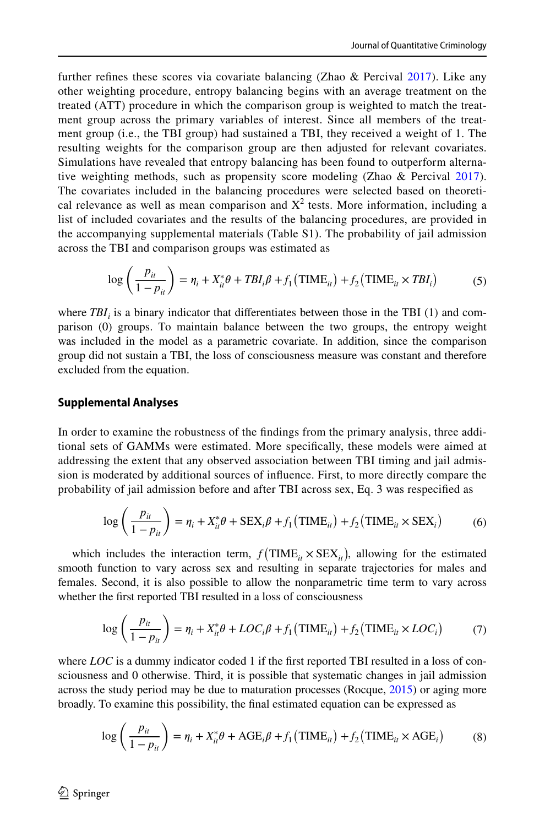further refines these scores via covariate balancing (Zhao & Percival  $2017$ ). Like any other weighting procedure, entropy balancing begins with an average treatment on the treated (ATT) procedure in which the comparison group is weighted to match the treatment group across the primary variables of interest. Since all members of the treatment group (i.e., the TBI group) had sustained a TBI, they received a weight of 1. The resulting weights for the comparison group are then adjusted for relevant covariates. Simulations have revealed that entropy balancing has been found to outperform alternative weighting methods, such as propensity score modeling (Zhao & Percival [2017\)](#page-23-2). The covariates included in the balancing procedures were selected based on theoretical relevance as well as mean comparison and  $X^2$  tests. More information, including a list of included covariates and the results of the balancing procedures, are provided in the accompanying supplemental materials (Table S1). The probability of jail admission across the TBI and comparison groups was estimated as

<span id="page-9-0"></span>
$$
\log\left(\frac{p_{it}}{1-p_{it}}\right) = \eta_i + X_{it}^* \theta + TBI_i \beta + f_1(TIME_{it}) + f_2(TIME_{it} \times TBI_i)
$$
(5)

where  $TBI_i$  is a binary indicator that differentiates between those in the TBI (1) and comparison (0) groups. To maintain balance between the two groups, the entropy weight was included in the model as a parametric covariate. In addition, since the comparison group did not sustain a TBI, the loss of consciousness measure was constant and therefore excluded from the equation.

#### **Supplemental Analyses**

In order to examine the robustness of the findings from the primary analysis, three additional sets of GAMMs were estimated. More specifically, these models were aimed at addressing the extent that any observed association between TBI timing and jail admission is moderated by additional sources of influence. First, to more directly compare the probability of jail admission before and after TBI across sex, Eq. 3 was respecified as

<span id="page-9-1"></span>
$$
\log\left(\frac{p_{it}}{1-p_{it}}\right) = \eta_i + X_{it}^* \theta + \text{SEX}_i \beta + f_1(\text{TIME}_{it}) + f_2(\text{TIME}_{it} \times \text{SEX}_i)
$$
(6)

which includes the interaction term,  $f(\text{TIME}_{it} \times \text{SEX}_{it})$ , allowing for the estimated smooth function to vary across sex and resulting in separate trajectories for males and females. Second, it is also possible to allow the nonparametric time term to vary across whether the first reported TBI resulted in a loss of consciousness

<span id="page-9-2"></span>
$$
\log\left(\frac{p_{it}}{1-p_{it}}\right) = \eta_i + X_{it}^* \theta + LOC_i \beta + f_1 \left(\text{TIME}_{it}\right) + f_2 \left(\text{TIME}_{it} \times LOC_i\right) \tag{7}
$$

where *LOC* is a dummy indicator coded 1 if the first reported TBI resulted in a loss of consciousness and 0 otherwise. Third, it is possible that systematic changes in jail admission across the study period may be due to maturation processes (Rocque, [2015](#page-22-17)) or aging more broadly. To examine this possibility, the final estimated equation can be expressed as

<span id="page-9-3"></span>
$$
\log\left(\frac{p_{it}}{1-p_{it}}\right) = \eta_i + X_{it}^* \theta + AGE_i \beta + f_1(TIME_{it}) + f_2(TIME_{it} \times AGE_i)
$$
(8)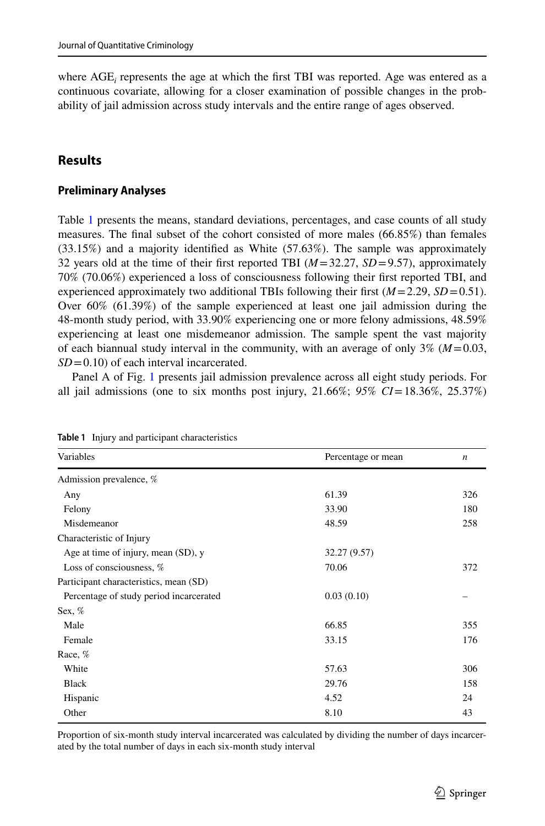where AGE<sub>i</sub> represents the age at which the first TBI was reported. Age was entered as a continuous covariate, allowing for a closer examination of possible changes in the probability of jail admission across study intervals and the entire range of ages observed.

# **Results**

#### **Preliminary Analyses**

Table [1](#page-10-0) presents the means, standard deviations, percentages, and case counts of all study measures. The final subset of the cohort consisted of more males (66.85%) than females (33.15%) and a majority identified as White (57.63%). The sample was approximately 32 years old at the time of their first reported TBI  $(M=32.27, SD=9.57)$ , approximately 70% (70.06%) experienced a loss of consciousness following their first reported TBI, and experienced approximately two additional TBIs following their first  $(M=2.29, SD=0.51)$ . Over 60% (61.39%) of the sample experienced at least one jail admission during the 48-month study period, with 33.90% experiencing one or more felony admissions, 48.59% experiencing at least one misdemeanor admission. The sample spent the vast majority of each biannual study interval in the community, with an average of only  $3\%$  ( $M = 0.03$ , *SD* = 0.10) of each interval incarcerated.

Panel A of Fig. [1](#page-11-0) presents jail admission prevalence across all eight study periods. For all jail admissions (one to six months post injury,  $21.66\%$ ;  $95\%$   $CI = 18.36\%$ ,  $25.37\%$ )

| Variables                               | Percentage or mean | n   |
|-----------------------------------------|--------------------|-----|
| Admission prevalence, %                 |                    |     |
| Any                                     | 61.39              | 326 |
| Felony                                  | 33.90              | 180 |
| Misdemeanor                             | 48.59              | 258 |
| Characteristic of Injury                |                    |     |
| Age at time of injury, mean (SD), y     | 32.27 (9.57)       |     |
| Loss of consciousness, %                | 70.06              | 372 |
| Participant characteristics, mean (SD)  |                    |     |
| Percentage of study period incarcerated | 0.03(0.10)         |     |
| Sex, $%$                                |                    |     |
| Male                                    | 66.85              | 355 |
| Female                                  | 33.15              | 176 |
| Race, %                                 |                    |     |
| White                                   | 57.63              | 306 |
| <b>Black</b>                            | 29.76              | 158 |
| Hispanic                                | 4.52               | 24  |
| Other                                   | 8.10               | 43  |
|                                         |                    |     |

<span id="page-10-0"></span>**Table 1** Injury and participant characteristics

Proportion of six-month study interval incarcerated was calculated by dividing the number of days incarcerated by the total number of days in each six-month study interval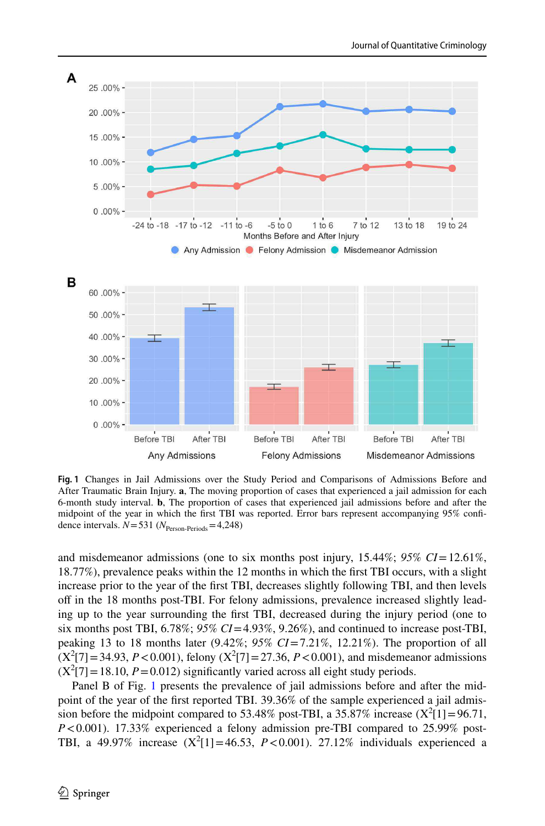

<span id="page-11-0"></span>**Fig. 1** Changes in Jail Admissions over the Study Period and Comparisons of Admissions Before and After Traumatic Brain Injury. **a**, The moving proportion of cases that experienced a jail admission for each 6-month study interval. **b**, The proportion of cases that experienced jail admissions before and after the midpoint of the year in which the first TBI was reported. Error bars represent accompanying 95% confidence intervals.  $N = 531$  ( $N_{\text{Person-Periods}} = 4,248$ )

and misdemeanor admissions (one to six months post injury, 15.44%; 95% CI=12.61%, 18.77%), prevalence peaks within the 12 months in which the first TBI occurs, with a slight increase prior to the year of the first TBI, decreases slightly following TBI, and then levels off in the 18 months post-TBI. For felony admissions, prevalence increased slightly leading up to the year surrounding the first TBI, decreased during the injury period (one to six months post TBI,  $6.78\%$ ;  $95\%$   $CI = 4.93\%, 9.26\%$ ), and continued to increase post-TBI, peaking 13 to 18 months later  $(9.42\%; 95\% \text{ CI} = 7.21\%, 12.21\%).$  The proportion of all  $(X^2[7] = 34.93, P < 0.001$ , felony  $(X^2[7] = 27.36, P < 0.001$ ), and misdemeanor admissions  $(X^2[7] = 18.10, P = 0.012)$  significantly varied across all eight study periods.

Panel B of Fig. [1](#page-11-0) presents the prevalence of jail admissions before and after the midpoint of the year of the first reported TBI. 39.36% of the sample experienced a jail admission before the midpoint compared to 53.48% post-TBI, a  $35.87\%$  increase (X<sup>2</sup>[1] = 96.71,  $P < 0.001$ ). 17.33% experienced a felony admission pre-TBI compared to 25.99% post-TBI, a  $49.97\%$  increase  $(X^2[1] = 46.53, P < 0.001)$ . 27.12% individuals experienced a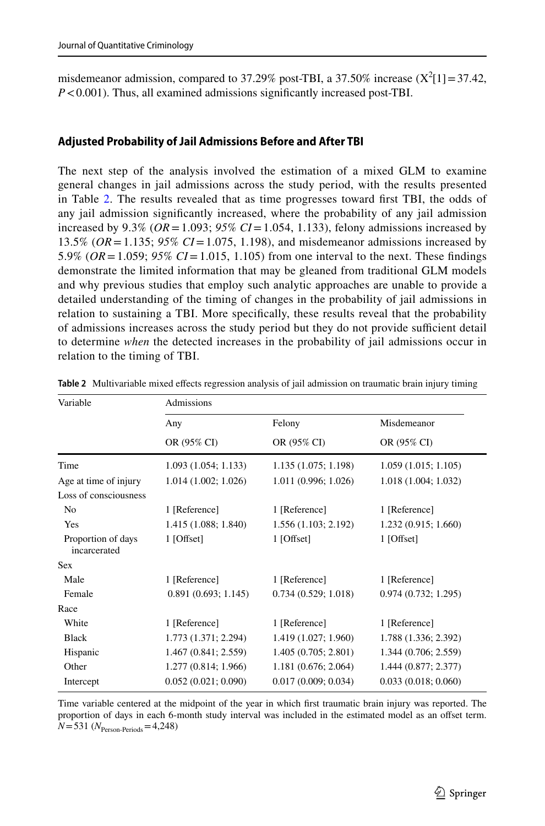misdemeanor admission, compared to 37.29% post-TBI, a 37.50% increase  $(X^2[1] = 37.42$ , *P* < 0.001). Thus, all examined admissions significantly increased post-TBI.

#### **Adjusted Probability of Jail Admissions Before and After TBI**

The next step of the analysis involved the estimation of a mixed GLM to examine general changes in jail admissions across the study period, with the results presented in Table [2.](#page-12-0) The results revealed that as time progresses toward first TBI, the odds of any jail admission significantly increased, where the probability of any jail admission increased by  $9.3\%$  (*OR* = 1.093;  $95\%$  *CI* = 1.054, 1.133), felony admissions increased by 13.5% (*OR* = 1.135; *95% CI* = 1.075, 1.198), and misdemeanor admissions increased by 5.9% (*OR* = 1.059; *95% CI* = 1.015, 1.105) from one interval to the next. These findings demonstrate the limited information that may be gleaned from traditional GLM models and why previous studies that employ such analytic approaches are unable to provide a detailed understanding of the timing of changes in the probability of jail admissions in relation to sustaining a TBI. More specifically, these results reveal that the probability of admissions increases across the study period but they do not provide sufficient detail to determine *when* the detected increases in the probability of jail admissions occur in relation to the timing of TBI.

| Variable                           | Admissions           |                       |                            |  |
|------------------------------------|----------------------|-----------------------|----------------------------|--|
|                                    | Any<br>OR (95% CI)   | Felony<br>OR (95% CI) | Misdemeanor<br>OR (95% CI) |  |
|                                    |                      |                       |                            |  |
| Age at time of injury              | 1.014(1.002; 1.026)  | 1.011 (0.996; 1.026)  | 1.018 (1.004; 1.032)       |  |
| Loss of consciousness              |                      |                       |                            |  |
| No                                 | 1 [Reference]        | 1 [Reference]         | 1 [Reference]              |  |
| Yes                                | 1.415 (1.088; 1.840) | 1.556(1.103; 2.192)   | 1.232(0.915; 1.660)        |  |
| Proportion of days<br>incarcerated | $1$ [Offset]         | $1$ [Offset]          | 1 [Offset]                 |  |
| <b>Sex</b>                         |                      |                       |                            |  |
| Male                               | 1 [Reference]        | 1 [Reference]         | 1 [Reference]              |  |
| Female                             | 0.891(0.693; 1.145)  | 0.734(0.529; 1.018)   | 0.974(0.732; 1.295)        |  |
| Race                               |                      |                       |                            |  |
| White                              | 1 [Reference]        | 1 [Reference]         | 1 [Reference]              |  |
| <b>Black</b>                       | 1.773 (1.371; 2.294) | 1.419 (1.027; 1.960)  | 1.788 (1.336; 2.392)       |  |
| Hispanic                           | 1.467 (0.841; 2.559) | 1.405(0.705; 2.801)   | 1.344 (0.706; 2.559)       |  |
| Other                              | 1.277 (0.814; 1.966) | 1.181(0.676; 2.064)   | 1.444 (0.877; 2.377)       |  |
| Intercept                          | 0.052(0.021; 0.090)  | 0.017(0.009; 0.034)   | 0.033(0.018; 0.060)        |  |

<span id="page-12-0"></span>**Table 2** Multivariable mixed effects regression analysis of jail admission on traumatic brain injury timing

Time variable centered at the midpoint of the year in which first traumatic brain injury was reported. The proportion of days in each 6-month study interval was included in the estimated model as an offset term.  $N = 531 (N_{\text{Person-Periods}} = 4,248)$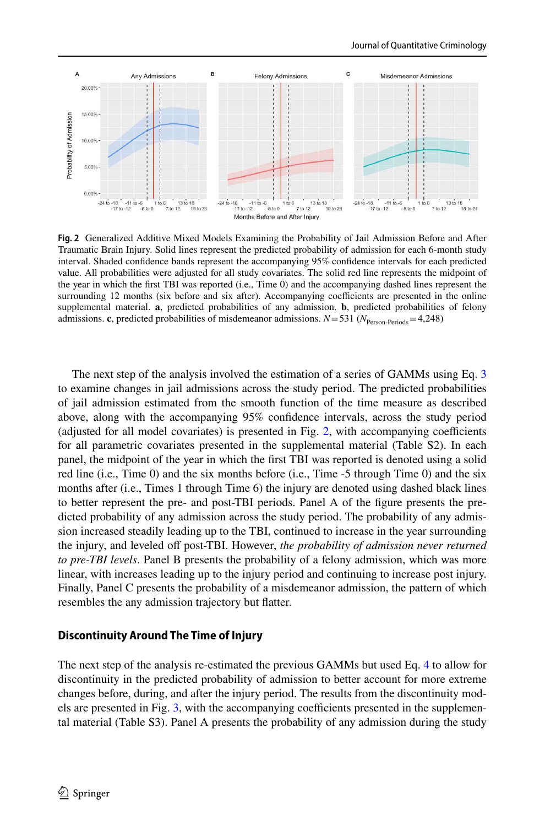

<span id="page-13-0"></span>**Fig. 2** Generalized Additive Mixed Models Examining the Probability of Jail Admission Before and After Traumatic Brain Injury. Solid lines represent the predicted probability of admission for each 6-month study interval. Shaded confidence bands represent the accompanying 95% confidence intervals for each predicted value. All probabilities were adjusted for all study covariates. The solid red line represents the midpoint of the year in which the first TBI was reported (i.e., Time 0) and the accompanying dashed lines represent the surrounding 12 months (six before and six after). Accompanying coefficients are presented in the online supplemental material. **a**, predicted probabilities of any admission. **b**, predicted probabilities of felony admissions. **c**, predicted probabilities of misdemeanor admissions.  $N = 531$  ( $N_{\text{Person-Periods}} = 4,248$ )

The next step of the analysis involved the estimation of a series of GAMMs using Eq. [3](#page-7-2) to examine changes in jail admissions across the study period. The predicted probabilities of jail admission estimated from the smooth function of the time measure as described above, along with the accompanying 95% confidence intervals, across the study period (adjusted for all model covariates) is presented in Fig. [2](#page-13-0), with accompanying coefficients for all parametric covariates presented in the supplemental material (Table S2). In each panel, the midpoint of the year in which the first TBI was reported is denoted using a solid red line (i.e., Time 0) and the six months before (i.e., Time -5 through Time 0) and the six months after (i.e., Times 1 through Time 6) the injury are denoted using dashed black lines to better represent the pre- and post-TBI periods. Panel A of the figure presents the predicted probability of any admission across the study period. The probability of any admission increased steadily leading up to the TBI, continued to increase in the year surrounding the injury, and leveled off post-TBI. However, *the probability of admission never returned to pre-TBI levels*. Panel B presents the probability of a felony admission, which was more linear, with increases leading up to the injury period and continuing to increase post injury. Finally, Panel C presents the probability of a misdemeanor admission, the pattern of which resembles the any admission trajectory but flatter.

#### **Discontinuity Around The Time of Injury**

The next step of the analysis re-estimated the previous GAMMs but used Eq. [4](#page-8-0) to allow for discontinuity in the predicted probability of admission to better account for more extreme changes before, during, and after the injury period. The results from the discontinuity models are presented in Fig. [3](#page-14-0), with the accompanying coefficients presented in the supplemental material (Table S3). Panel A presents the probability of any admission during the study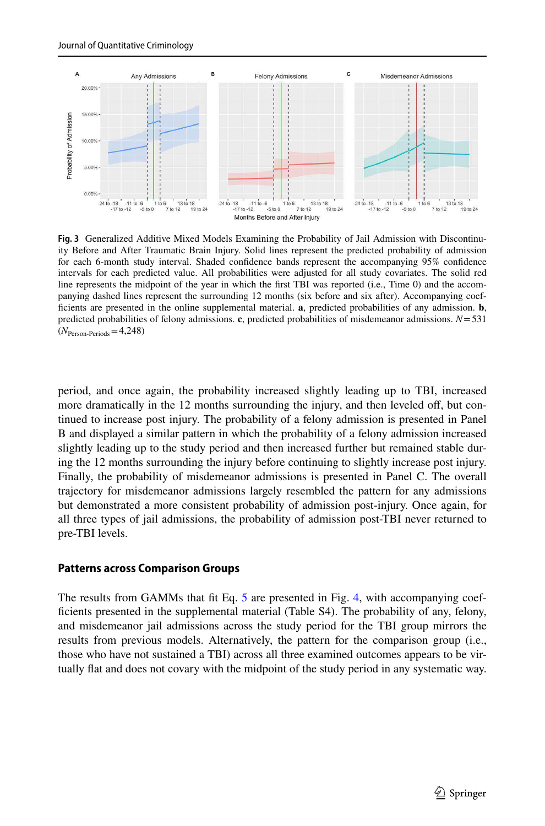

<span id="page-14-0"></span>**Fig. 3** Generalized Additive Mixed Models Examining the Probability of Jail Admission with Discontinuity Before and After Traumatic Brain Injury. Solid lines represent the predicted probability of admission for each 6-month study interval. Shaded confidence bands represent the accompanying 95% confidence intervals for each predicted value. All probabilities were adjusted for all study covariates. The solid red line represents the midpoint of the year in which the first TBI was reported (i.e., Time 0) and the accompanying dashed lines represent the surrounding 12 months (six before and six after). Accompanying coefficients are presented in the online supplemental material. **a**, predicted probabilities of any admission. **b**, predicted probabilities of felony admissions. **c**, predicted probabilities of misdemeanor admissions. *N* = 531  $(N_{\text{Person-Periods}} = 4,248)$ 

period, and once again, the probability increased slightly leading up to TBI, increased more dramatically in the 12 months surrounding the injury, and then leveled off, but continued to increase post injury. The probability of a felony admission is presented in Panel B and displayed a similar pattern in which the probability of a felony admission increased slightly leading up to the study period and then increased further but remained stable during the 12 months surrounding the injury before continuing to slightly increase post injury. Finally, the probability of misdemeanor admissions is presented in Panel C. The overall trajectory for misdemeanor admissions largely resembled the pattern for any admissions but demonstrated a more consistent probability of admission post-injury. Once again, for all three types of jail admissions, the probability of admission post-TBI never returned to pre-TBI levels.

#### **Patterns across Comparison Groups**

The results from GAMMs that fit Eq. [5](#page-9-0) are presented in Fig. [4,](#page-15-0) with accompanying coefficients presented in the supplemental material (Table S4). The probability of any, felony, and misdemeanor jail admissions across the study period for the TBI group mirrors the results from previous models. Alternatively, the pattern for the comparison group (i.e., those who have not sustained a TBI) across all three examined outcomes appears to be virtually flat and does not covary with the midpoint of the study period in any systematic way.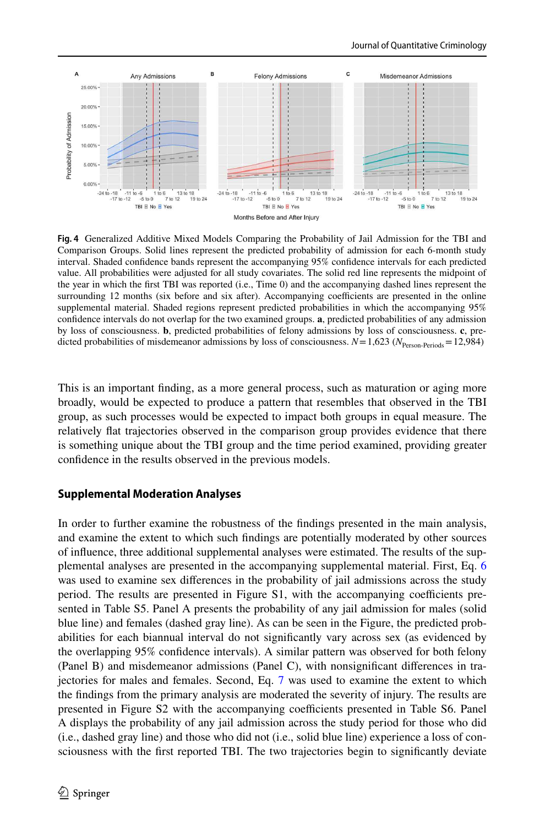

<span id="page-15-0"></span>**Fig. 4** Generalized Additive Mixed Models Comparing the Probability of Jail Admission for the TBI and Comparison Groups. Solid lines represent the predicted probability of admission for each 6-month study interval. Shaded confidence bands represent the accompanying 95% confidence intervals for each predicted value. All probabilities were adjusted for all study covariates. The solid red line represents the midpoint of the year in which the first TBI was reported (i.e., Time 0) and the accompanying dashed lines represent the surrounding 12 months (six before and six after). Accompanying coefficients are presented in the online supplemental material. Shaded regions represent predicted probabilities in which the accompanying 95% confidence intervals do not overlap for the two examined groups. **a**, predicted probabilities of any admission by loss of consciousness. **b**, predicted probabilities of felony admissions by loss of consciousness. **c**, predicted probabilities of misdemeanor admissions by loss of consciousness.  $N = 1,623$  ( $N_{\text{Person-Periods}} = 12,984$ )

This is an important finding, as a more general process, such as maturation or aging more broadly, would be expected to produce a pattern that resembles that observed in the TBI group, as such processes would be expected to impact both groups in equal measure. The relatively flat trajectories observed in the comparison group provides evidence that there is something unique about the TBI group and the time period examined, providing greater confidence in the results observed in the previous models.

#### **Supplemental Moderation Analyses**

In order to further examine the robustness of the findings presented in the main analysis, and examine the extent to which such findings are potentially moderated by other sources of influence, three additional supplemental analyses were estimated. The results of the supplemental analyses are presented in the accompanying supplemental material. First, Eq. [6](#page-9-1) was used to examine sex differences in the probability of jail admissions across the study period. The results are presented in Figure S1, with the accompanying coefficients presented in Table S5. Panel A presents the probability of any jail admission for males (solid blue line) and females (dashed gray line). As can be seen in the Figure, the predicted probabilities for each biannual interval do not significantly vary across sex (as evidenced by the overlapping 95% confidence intervals). A similar pattern was observed for both felony (Panel B) and misdemeanor admissions (Panel C), with nonsignificant differences in trajectories for males and females. Second, Eq. [7](#page-9-2) was used to examine the extent to which the findings from the primary analysis are moderated the severity of injury. The results are presented in Figure S2 with the accompanying coefficients presented in Table S6. Panel A displays the probability of any jail admission across the study period for those who did (i.e., dashed gray line) and those who did not (i.e., solid blue line) experience a loss of consciousness with the first reported TBI. The two trajectories begin to significantly deviate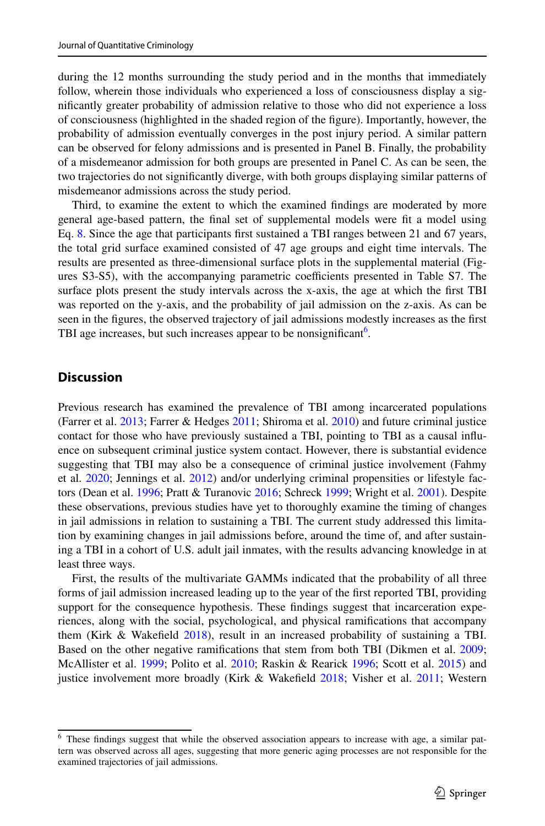during the 12 months surrounding the study period and in the months that immediately follow, wherein those individuals who experienced a loss of consciousness display a significantly greater probability of admission relative to those who did not experience a loss of consciousness (highlighted in the shaded region of the figure). Importantly, however, the probability of admission eventually converges in the post injury period. A similar pattern can be observed for felony admissions and is presented in Panel B. Finally, the probability of a misdemeanor admission for both groups are presented in Panel C. As can be seen, the two trajectories do not significantly diverge, with both groups displaying similar patterns of misdemeanor admissions across the study period.

Third, to examine the extent to which the examined findings are moderated by more general age-based pattern, the final set of supplemental models were fit a model using Eq. [8.](#page-9-3) Since the age that participants first sustained a TBI ranges between 21 and 67 years, the total grid surface examined consisted of 47 age groups and eight time intervals. The results are presented as three-dimensional surface plots in the supplemental material (Figures S3-S5), with the accompanying parametric coefficients presented in Table S7. The surface plots present the study intervals across the x-axis, the age at which the first TBI was reported on the y-axis, and the probability of jail admission on the z-axis. As can be seen in the figures, the observed trajectory of jail admissions modestly increases as the first TBI age increases, but such increases appear to be nonsignificant<sup>[6](#page-16-0)</sup>.

### **Discussion**

Previous research has examined the prevalence of TBI among incarcerated populations (Farrer et al. [2013;](#page-20-10) Farrer & Hedges [2011;](#page-20-1) Shiroma et al. [2010](#page-22-1)) and future criminal justice contact for those who have previously sustained a TBI, pointing to TBI as a causal influence on subsequent criminal justice system contact. However, there is substantial evidence suggesting that TBI may also be a consequence of criminal justice involvement (Fahmy et al. [2020](#page-20-5); Jennings et al. [2012\)](#page-21-9) and/or underlying criminal propensities or lifestyle factors (Dean et al. [1996](#page-20-4); Pratt & Turanovic [2016](#page-21-7); Schreck [1999](#page-22-18); Wright et al. [2001\)](#page-23-0). Despite these observations, previous studies have yet to thoroughly examine the timing of changes in jail admissions in relation to sustaining a TBI. The current study addressed this limitation by examining changes in jail admissions before, around the time of, and after sustaining a TBI in a cohort of U.S. adult jail inmates, with the results advancing knowledge in at least three ways.

First, the results of the multivariate GAMMs indicated that the probability of all three forms of jail admission increased leading up to the year of the first reported TBI, providing support for the consequence hypothesis. These findings suggest that incarceration experiences, along with the social, psychological, and physical ramifications that accompany them (Kirk & Wakefield [2018](#page-21-8)), result in an increased probability of sustaining a TBI. Based on the other negative ramifications that stem from both TBI (Dikmen et al. [2009;](#page-20-11) McAllister et al. [1999](#page-21-16); Polito et al. [2010](#page-21-17); Raskin & Rearick [1996;](#page-21-18) Scott et al. [2015\)](#page-22-19) and justice involvement more broadly (Kirk & Wakefield [2018](#page-21-8); Visher et al. [2011](#page-22-10); Western

<span id="page-16-0"></span><sup>&</sup>lt;sup>6</sup> These findings suggest that while the observed association appears to increase with age, a similar pattern was observed across all ages, suggesting that more generic aging processes are not responsible for the examined trajectories of jail admissions.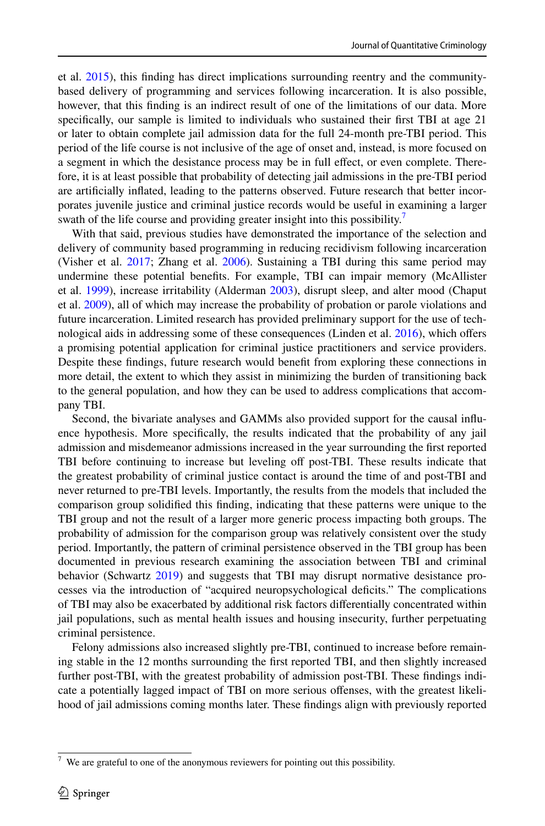et al. [2015](#page-22-11)), this finding has direct implications surrounding reentry and the communitybased delivery of programming and services following incarceration. It is also possible, however, that this finding is an indirect result of one of the limitations of our data. More specifically, our sample is limited to individuals who sustained their first TBI at age 21 or later to obtain complete jail admission data for the full 24-month pre-TBI period. This period of the life course is not inclusive of the age of onset and, instead, is more focused on a segment in which the desistance process may be in full effect, or even complete. Therefore, it is at least possible that probability of detecting jail admissions in the pre-TBI period are artificially inflated, leading to the patterns observed. Future research that better incorporates juvenile justice and criminal justice records would be useful in examining a larger swath of the life course and providing greater insight into this possibility.<sup>[7](#page-17-0)</sup>

With that said, previous studies have demonstrated the importance of the selection and delivery of community based programming in reducing recidivism following incarceration (Visher et al. [2017](#page-22-20); Zhang et al. [2006](#page-23-3)). Sustaining a TBI during this same period may undermine these potential benefits. For example, TBI can impair memory (McAllister et al. [1999](#page-21-16)), increase irritability (Alderman [2003\)](#page-20-12), disrupt sleep, and alter mood (Chaput et al. [2009\)](#page-20-13), all of which may increase the probability of probation or parole violations and future incarceration. Limited research has provided preliminary support for the use of technological aids in addressing some of these consequences (Linden et al. [2016](#page-21-19)), which offers a promising potential application for criminal justice practitioners and service providers. Despite these findings, future research would benefit from exploring these connections in more detail, the extent to which they assist in minimizing the burden of transitioning back to the general population, and how they can be used to address complications that accompany TBI.

Second, the bivariate analyses and GAMMs also provided support for the causal influence hypothesis. More specifically, the results indicated that the probability of any jail admission and misdemeanor admissions increased in the year surrounding the first reported TBI before continuing to increase but leveling off post-TBI. These results indicate that the greatest probability of criminal justice contact is around the time of and post-TBI and never returned to pre-TBI levels. Importantly, the results from the models that included the comparison group solidified this finding, indicating that these patterns were unique to the TBI group and not the result of a larger more generic process impacting both groups. The probability of admission for the comparison group was relatively consistent over the study period. Importantly, the pattern of criminal persistence observed in the TBI group has been documented in previous research examining the association between TBI and criminal behavior (Schwartz [2019](#page-22-2)) and suggests that TBI may disrupt normative desistance processes via the introduction of "acquired neuropsychological deficits." The complications of TBI may also be exacerbated by additional risk factors differentially concentrated within jail populations, such as mental health issues and housing insecurity, further perpetuating criminal persistence.

Felony admissions also increased slightly pre-TBI, continued to increase before remaining stable in the 12 months surrounding the first reported TBI, and then slightly increased further post-TBI, with the greatest probability of admission post-TBI. These findings indicate a potentially lagged impact of TBI on more serious offenses, with the greatest likelihood of jail admissions coming months later. These findings align with previously reported

<span id="page-17-0"></span> $7$  We are grateful to one of the anonymous reviewers for pointing out this possibility.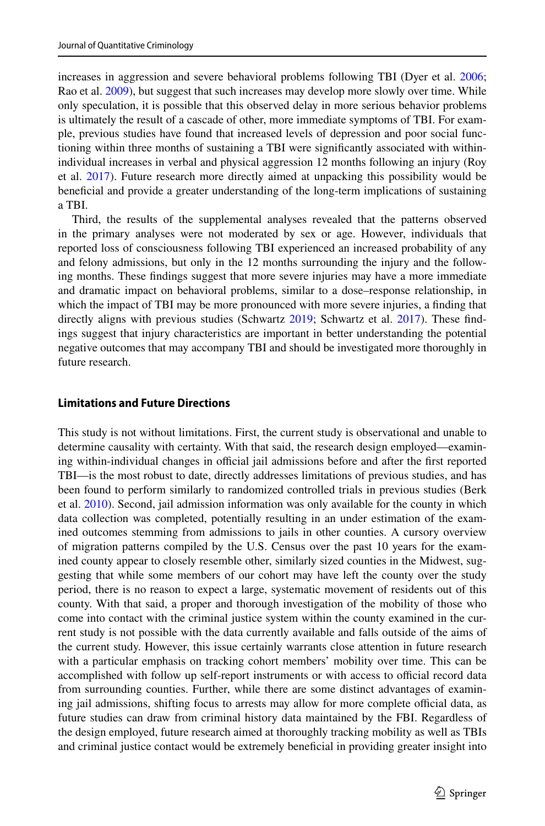increases in aggression and severe behavioral problems following TBI (Dyer et al. [2006;](#page-20-14) Rao et al. [2009\)](#page-21-20), but suggest that such increases may develop more slowly over time. While only speculation, it is possible that this observed delay in more serious behavior problems is ultimately the result of a cascade of other, more immediate symptoms of TBI. For example, previous studies have found that increased levels of depression and poor social functioning within three months of sustaining a TBI were significantly associated with withinindividual increases in verbal and physical aggression 12 months following an injury (Roy et al. [2017\)](#page-22-21). Future research more directly aimed at unpacking this possibility would be beneficial and provide a greater understanding of the long-term implications of sustaining a TBI.

Third, the results of the supplemental analyses revealed that the patterns observed in the primary analyses were not moderated by sex or age. However, individuals that reported loss of consciousness following TBI experienced an increased probability of any and felony admissions, but only in the 12 months surrounding the injury and the following months. These findings suggest that more severe injuries may have a more immediate and dramatic impact on behavioral problems, similar to a dose–response relationship, in which the impact of TBI may be more pronounced with more severe injuries, a finding that directly aligns with previous studies (Schwartz [2019](#page-22-2); Schwartz et al. [2017](#page-22-3)). These findings suggest that injury characteristics are important in better understanding the potential negative outcomes that may accompany TBI and should be investigated more thoroughly in future research.

#### **Limitations and Future Directions**

This study is not without limitations. First, the current study is observational and unable to determine causality with certainty. With that said, the research design employed—examining within-individual changes in official jail admissions before and after the first reported TBI—is the most robust to date, directly addresses limitations of previous studies, and has been found to perform similarly to randomized controlled trials in previous studies (Berk et al. [2010\)](#page-20-9). Second, jail admission information was only available for the county in which data collection was completed, potentially resulting in an under estimation of the examined outcomes stemming from admissions to jails in other counties. A cursory overview of migration patterns compiled by the U.S. Census over the past 10 years for the examined county appear to closely resemble other, similarly sized counties in the Midwest, suggesting that while some members of our cohort may have left the county over the study period, there is no reason to expect a large, systematic movement of residents out of this county. With that said, a proper and thorough investigation of the mobility of those who come into contact with the criminal justice system within the county examined in the current study is not possible with the data currently available and falls outside of the aims of the current study. However, this issue certainly warrants close attention in future research with a particular emphasis on tracking cohort members' mobility over time. This can be accomplished with follow up self-report instruments or with access to official record data from surrounding counties. Further, while there are some distinct advantages of examining jail admissions, shifting focus to arrests may allow for more complete official data, as future studies can draw from criminal history data maintained by the FBI. Regardless of the design employed, future research aimed at thoroughly tracking mobility as well as TBIs and criminal justice contact would be extremely beneficial in providing greater insight into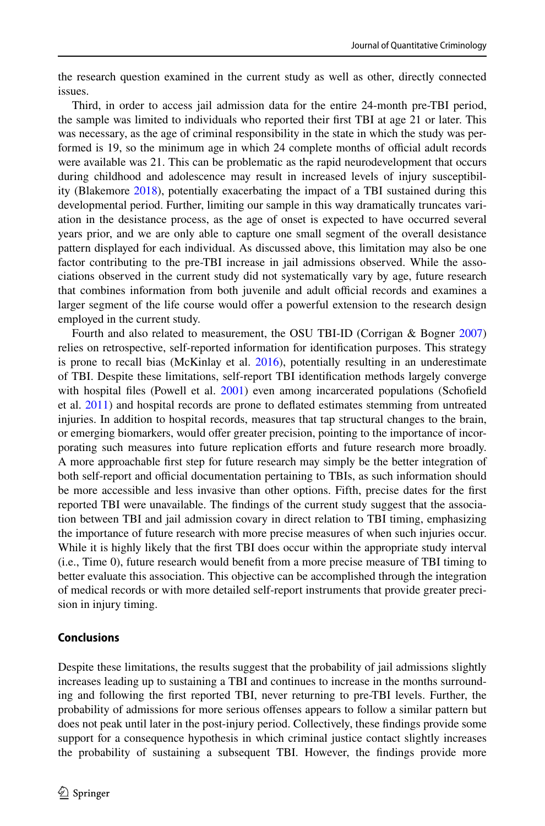the research question examined in the current study as well as other, directly connected issues.

Third, in order to access jail admission data for the entire 24-month pre-TBI period, the sample was limited to individuals who reported their first TBI at age 21 or later. This was necessary, as the age of criminal responsibility in the state in which the study was performed is 19, so the minimum age in which 24 complete months of official adult records were available was 21. This can be problematic as the rapid neurodevelopment that occurs during childhood and adolescence may result in increased levels of injury susceptibility (Blakemore [2018\)](#page-20-15), potentially exacerbating the impact of a TBI sustained during this developmental period. Further, limiting our sample in this way dramatically truncates variation in the desistance process, as the age of onset is expected to have occurred several years prior, and we are only able to capture one small segment of the overall desistance pattern displayed for each individual. As discussed above, this limitation may also be one factor contributing to the pre-TBI increase in jail admissions observed. While the associations observed in the current study did not systematically vary by age, future research that combines information from both juvenile and adult official records and examines a larger segment of the life course would offer a powerful extension to the research design employed in the current study.

Fourth and also related to measurement, the OSU TBI-ID (Corrigan & Bogner [2007](#page-20-8)) relies on retrospective, self-reported information for identification purposes. This strategy is prone to recall bias (McKinlay et al. [2016](#page-21-21)), potentially resulting in an underestimate of TBI. Despite these limitations, self-report TBI identification methods largely converge with hospital files (Powell et al. [2001](#page-21-22)) even among incarcerated populations (Schofield et al. [2011\)](#page-22-22) and hospital records are prone to deflated estimates stemming from untreated injuries. In addition to hospital records, measures that tap structural changes to the brain, or emerging biomarkers, would offer greater precision, pointing to the importance of incorporating such measures into future replication efforts and future research more broadly. A more approachable first step for future research may simply be the better integration of both self-report and official documentation pertaining to TBIs, as such information should be more accessible and less invasive than other options. Fifth, precise dates for the first reported TBI were unavailable. The findings of the current study suggest that the association between TBI and jail admission covary in direct relation to TBI timing, emphasizing the importance of future research with more precise measures of when such injuries occur. While it is highly likely that the first TBI does occur within the appropriate study interval (i.e., Time 0), future research would benefit from a more precise measure of TBI timing to better evaluate this association. This objective can be accomplished through the integration of medical records or with more detailed self-report instruments that provide greater precision in injury timing.

#### **Conclusions**

Despite these limitations, the results suggest that the probability of jail admissions slightly increases leading up to sustaining a TBI and continues to increase in the months surrounding and following the first reported TBI, never returning to pre-TBI levels. Further, the probability of admissions for more serious offenses appears to follow a similar pattern but does not peak until later in the post-injury period. Collectively, these findings provide some support for a consequence hypothesis in which criminal justice contact slightly increases the probability of sustaining a subsequent TBI. However, the findings provide more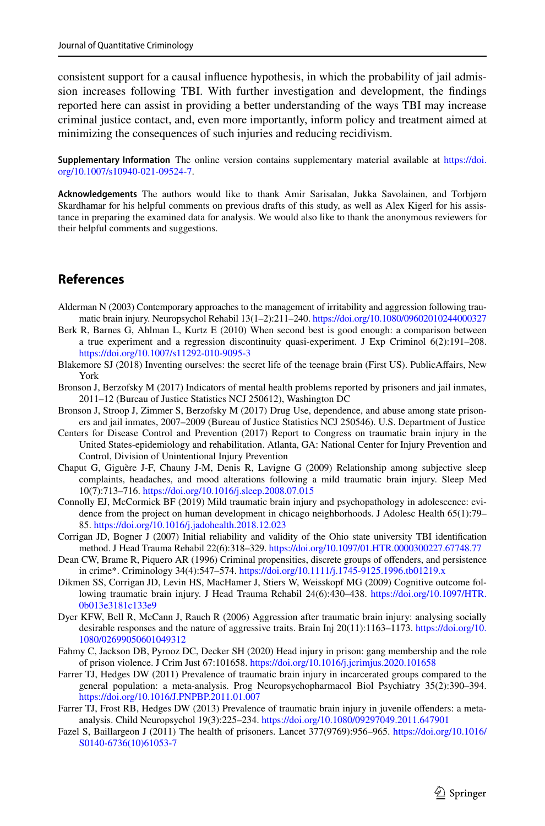consistent support for a causal influence hypothesis, in which the probability of jail admission increases following TBI. With further investigation and development, the findings reported here can assist in providing a better understanding of the ways TBI may increase criminal justice contact, and, even more importantly, inform policy and treatment aimed at minimizing the consequences of such injuries and reducing recidivism.

**Supplementary Information** The online version contains supplementary material available at https://doi. org/10.1007/s10940-021-09524-7.

**Acknowledgements** The authors would like to thank Amir Sarisalan, Jukka Savolainen, and Torbjørn Skardhamar for his helpful comments on previous drafts of this study, as well as Alex Kigerl for his assistance in preparing the examined data for analysis. We would also like to thank the anonymous reviewers for their helpful comments and suggestions.

# **References**

- <span id="page-20-12"></span>Alderman N (2003) Contemporary approaches to the management of irritability and aggression following traumatic brain injury. Neuropsychol Rehabil 13(1-2):211-240. https://doi.org/10.1080/09602010244000327
- <span id="page-20-9"></span>Berk R, Barnes G, Ahlman L, Kurtz E (2010) When second best is good enough: a comparison between a true experiment and a regression discontinuity quasi-experiment. J Exp Criminol 6(2):191–208. https://doi.org/10.1007/s11292-010-9095-3
- <span id="page-20-15"></span>Blakemore SJ (2018) Inventing ourselves: the secret life of the teenage brain (First US). PublicAffairs, New York
- <span id="page-20-7"></span>Bronson J, Berzofsky M (2017) Indicators of mental health problems reported by prisoners and jail inmates, 2011–12 (Bureau of Justice Statistics NCJ 250612), Washington DC
- <span id="page-20-6"></span>Bronson J, Stroop J, Zimmer S, Berzofsky M (2017) Drug Use, dependence, and abuse among state prisoners and jail inmates, 2007–2009 (Bureau of Justice Statistics NCJ 250546). U.S. Department of Justice
- <span id="page-20-0"></span>Centers for Disease Control and Prevention (2017) Report to Congress on traumatic brain injury in the United States-epidemiology and rehabilitation. Atlanta, GA: National Center for Injury Prevention and Control, Division of Unintentional Injury Prevention
- <span id="page-20-13"></span>Chaput G, Giguère J-F, Chauny J-M, Denis R, Lavigne G (2009) Relationship among subjective sleep complaints, headaches, and mood alterations following a mild traumatic brain injury. Sleep Med 10(7):713–716. [https:// doi. org/ 10. 1016/j. sleep. 2008. 07. 015](https://doi.org/10.1016/j.sleep.2008.07.015)
- <span id="page-20-2"></span>Connolly EJ, McCormick BF (2019) Mild traumatic brain injury and psychopathology in adolescence: evidence from the project on human development in chicago neighborhoods. J Adolesc Health 65(1):79– 85. https://doi.org/10.1016/j.jadohealth.2018.12.023
- <span id="page-20-8"></span>Corrigan JD, Bogner J (2007) Initial reliability and validity of the Ohio state university TBI identification method. J Head Trauma Rehabil 22(6):318–329. [https:// doi. org/ 10. 1097/ 01. HTR. 00003 00227. 67748. 77](https://doi.org/10.1097/01.HTR.0000300227.67748.77)
- <span id="page-20-4"></span>Dean CW, Brame R, Piquero AR (1996) Criminal propensities, discrete groups of offenders, and persistence in crime\*. Criminology 34(4):547-574. https://doi.org/10.1111/j.1745-9125.1996.tb01219.x
- <span id="page-20-11"></span>Dikmen SS, Corrigan JD, Levin HS, MacHamer J, Stiers W, Weisskopf MG (2009) Cognitive outcome following traumatic brain injury. J Head Trauma Rehabil 24(6):430–438. https://doi.org/10.1097/HTR. 0b013e3181c133e9
- <span id="page-20-14"></span>Dyer KFW, Bell R, McCann J, Rauch R (2006) Aggression after traumatic brain injury: analysing socially desirable responses and the nature of aggressive traits. Brain Inj 20(11):1163-1173. https://doi.org/10. 1080/02699050601049312
- <span id="page-20-5"></span>Fahmy C, Jackson DB, Pyrooz DC, Decker SH (2020) Head injury in prison: gang membership and the role of prison violence. J Crim Just 67:101658. [https:// doi. org/ 10. 1016/j. jcrim jus. 2020. 101658](https://doi.org/10.1016/j.jcrimjus.2020.101658)
- <span id="page-20-1"></span>Farrer TJ, Hedges DW (2011) Prevalence of traumatic brain injury in incarcerated groups compared to the general population: a meta-analysis. Prog Neuropsychopharmacol Biol Psychiatry 35(2):390–394. https://doi.org/10.1016/J.PNPBP.2011.01.007
- <span id="page-20-10"></span>Farrer TJ, Frost RB, Hedges DW (2013) Prevalence of traumatic brain injury in juvenile offenders: a metaanalysis. Child Neuropsychol 19(3):225–234. https://doi.org/10.1080/09297049.2011.647901
- <span id="page-20-3"></span>Fazel S, Baillargeon J (2011) The health of prisoners. Lancet 377(9769):956–965. [https:// doi. org/ 10. 1016/](https://doi.org/10.1016/S0140-6736(10)61053-7)  S0140-6736(10)61053-7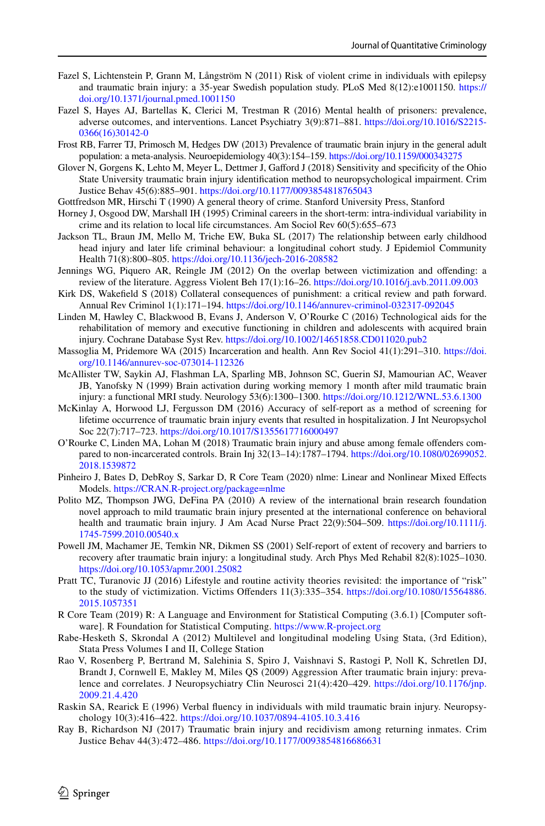- <span id="page-21-3"></span>Fazel S, Lichtenstein P, Grann M, Långström N (2011) Risk of violent crime in individuals with epilepsy and traumatic brain injury: a 35-year Swedish population study. PLoS Med 8(12):e1001150. [https://](https://doi.org/10.1371/journal.pmed.1001150)  doi.org/10.1371/journal.pmed.1001150
- <span id="page-21-1"></span>Fazel S, Hayes AJ, Bartellas K, Clerici M, Trestman R (2016) Mental health of prisoners: prevalence, adverse outcomes, and interventions. Lancet Psychiatry 3(9):871-881. https://doi.org/10.1016/S2215-[0366\(16\) 30142-0](https://doi.org/10.1016/S2215-0366(16)30142-0)
- <span id="page-21-0"></span>Frost RB, Farrer TJ, Primosch M, Hedges DW (2013) Prevalence of traumatic brain injury in the general adult population: a meta-analysis. Neuroepidemiology 40(3):154–159. https://doi.org/10.1159/000343275
- <span id="page-21-10"></span>Glover N, Gorgens K, Lehto M, Meyer L, Dettmer J, Gafford J (2018) Sensitivity and specificity of the Ohio State University traumatic brain injury identification method to neuropsychological impairment. Crim Justice Behav 45(6):885-901. https://doi.org/10.1177/0093854818765043

<span id="page-21-6"></span>Gottfredson MR, Hirschi T (1990) A general theory of crime. Stanford University Press, Stanford

- <span id="page-21-12"></span>Horney J, Osgood DW, Marshall IH (1995) Criminal careers in the short-term: intra-individual variability in crime and its relation to local life circumstances. Am Sociol Rev 60(5):655–673
- <span id="page-21-4"></span>Jackson TL, Braun JM, Mello M, Triche EW, Buka SL (2017) The relationship between early childhood head injury and later life criminal behaviour: a longitudinal cohort study. J Epidemiol Community Health 71(8):800-805. https://doi.org/10.1136/jech-2016-208582
- <span id="page-21-9"></span>Jennings WG, Piquero AR, Reingle JM (2012) On the overlap between victimization and offending: a review of the literature. Aggress Violent Beh 17(1):16–26. [https:// doi. org/ 10. 1016/j. avb. 2011. 09. 003](https://doi.org/10.1016/j.avb.2011.09.003)
- <span id="page-21-8"></span>Kirk DS, Wakefield S (2018) Collateral consequences of punishment: a critical review and path forward. Annual Rev Criminol 1(1):171–194. https://doi.org/10.1146/annurev-criminol-032317-092045
- <span id="page-21-19"></span>Linden M, Hawley C, Blackwood B, Evans J, Anderson V, O'Rourke C (2016) Technological aids for the rehabilitation of memory and executive functioning in children and adolescents with acquired brain injury. Cochrane Database Syst Rev. https://doi.org/10.1002/14651858.CD011020.pub2
- <span id="page-21-2"></span>Massoglia M, Pridemore WA (2015) Incarceration and health. Ann Rev Sociol 41(1):291-310. https://doi. org/10.1146/annurev-soc-073014-112326
- <span id="page-21-16"></span>McAllister TW, Saykin AJ, Flashman LA, Sparling MB, Johnson SC, Guerin SJ, Mamourian AC, Weaver JB, Yanofsky N (1999) Brain activation during working memory 1 month after mild traumatic brain injury: a functional MRI study. Neurology 53(6):1300–1300. https://doi.org/10.1212/WNL.53.6.1300
- <span id="page-21-21"></span>McKinlay A, Horwood LJ, Fergusson DM (2016) Accuracy of self-report as a method of screening for lifetime occurrence of traumatic brain injury events that resulted in hospitalization. J Int Neuropsychol Soc 22(7):717–723. https://doi.org/10.1017/S1355617716000497
- <span id="page-21-11"></span>O'Rourke C, Linden MA, Lohan M (2018) Traumatic brain injury and abuse among female offenders compared to non-incarcerated controls. Brain Inj 32(13-14):1787-1794. https://doi.org/10.1080/02699052. 2018.1539872
- <span id="page-21-15"></span>Pinheiro J, Bates D, DebRoy S, Sarkar D, R Core Team (2020) nlme: Linear and Nonlinear Mixed Effects Models. https://CRAN.R-project.org/package=nlme
- <span id="page-21-17"></span>Polito MZ, Thompson JWG, DeFina PA (2010) A review of the international brain research foundation novel approach to mild traumatic brain injury presented at the international conference on behavioral health and traumatic brain injury. J Am Acad Nurse Pract 22(9):504–509. https://doi.org/10.1111/j. 1745-7599.2010.00540.x
- <span id="page-21-22"></span>Powell JM, Machamer JE, Temkin NR, Dikmen SS (2001) Self-report of extent of recovery and barriers to recovery after traumatic brain injury: a longitudinal study. Arch Phys Med Rehabil 82(8):1025–1030. https://doi.org/10.1053/apmr.2001.25082
- <span id="page-21-7"></span>Pratt TC, Turanovic JJ (2016) Lifestyle and routine activity theories revisited: the importance of "risk" to the study of victimization. Victims Offenders 11(3):335-354. https://doi.org/10.1080/15564886. 2015.1057351
- <span id="page-21-14"></span>R Core Team (2019) R: A Language and Environment for Statistical Computing (3.6.1) [Computer software]. R Foundation for Statistical Computing. https://www.R-project.org
- <span id="page-21-13"></span>Rabe-Hesketh S, Skrondal A (2012) Multilevel and longitudinal modeling Using Stata, (3rd Edition), Stata Press Volumes I and II, College Station
- <span id="page-21-20"></span>Rao V, Rosenberg P, Bertrand M, Salehinia S, Spiro J, Vaishnavi S, Rastogi P, Noll K, Schretlen DJ, Brandt J, Cornwell E, Makley M, Miles QS (2009) Aggression After traumatic brain injury: prevalence and correlates. J Neuropsychiatry Clin Neurosci 21(4):420–429. https://doi.org/10.1176/jnp. 2009.21.4.420
- <span id="page-21-18"></span>Raskin SA, Rearick E (1996) Verbal fluency in individuals with mild traumatic brain injury. Neuropsychology 10(3):416–422. https://doi.org/10.1037/0894-4105.10.3.416
- <span id="page-21-5"></span>Ray B, Richardson NJ (2017) Traumatic brain injury and recidivism among returning inmates. Crim Justice Behav 44(3):472-486. https://doi.org/10.1177/0093854816686631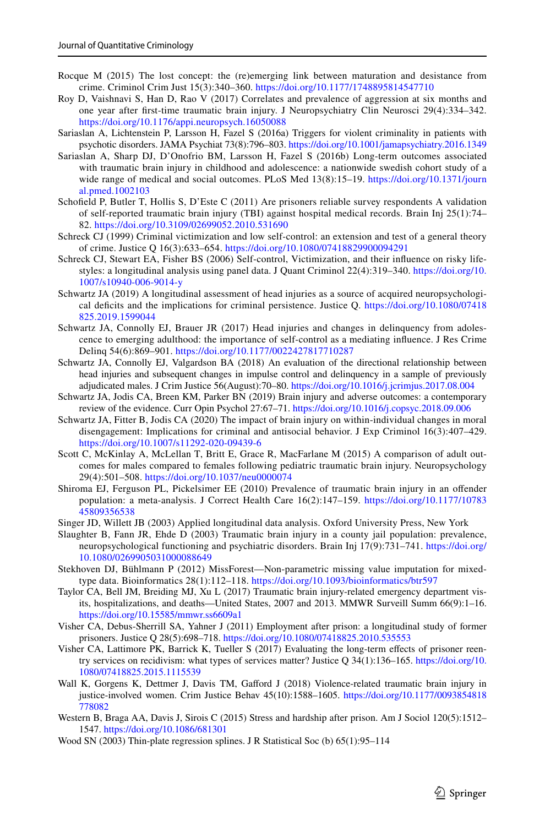- <span id="page-22-17"></span>Rocque M (2015) The lost concept: the (re)emerging link between maturation and desistance from crime. Criminol Crim Just 15(3):340–360. [https:// doi. org/ 10. 1177/ 17488 95814 547710](https://doi.org/10.1177/1748895814547710)
- <span id="page-22-21"></span>Roy D, Vaishnavi S, Han D, Rao V (2017) Correlates and prevalence of aggression at six months and one year after first-time traumatic brain injury. J Neuropsychiatry Clin Neurosci 29(4):334–342. https://doi.org/10.1176/appi.neuropsych.16050088
- <span id="page-22-5"></span>Sariaslan A, Lichtenstein P, Larsson H, Fazel S (2016a) Triggers for violent criminality in patients with psychotic disorders. JAMA Psychiat 73(8):796–803. [https:// doi. org/ 10. 1001/ jamap sychi atry. 2016. 1349](https://doi.org/10.1001/jamapsychiatry.2016.1349)
- <span id="page-22-6"></span>Sariaslan A, Sharp DJ, D'Onofrio BM, Larsson H, Fazel S (2016b) Long-term outcomes associated with traumatic brain injury in childhood and adolescence: a nationwide swedish cohort study of a wide range of medical and social outcomes. PLoS Med 13(8):15–19. https://doi.org/10.1371/journ al.pmed. 1002103
- <span id="page-22-22"></span>Schofield P, Butler T, Hollis S, D'Este C (2011) Are prisoners reliable survey respondents A validation of self-reported traumatic brain injury (TBI) against hospital medical records. Brain Inj 25(1):74– 82. https://doi.org/10.3109/02699052.2010.531690
- <span id="page-22-18"></span>Schreck CJ (1999) Criminal victimization and low self-control: an extension and test of a general theory of crime. Justice Q 16(3):633–654. https://doi.org/10.1080/07418829900094291
- <span id="page-22-4"></span>Schreck CJ, Stewart EA, Fisher BS (2006) Self-control, Victimization, and their influence on risky lifestyles: a longitudinal analysis using panel data. J Quant Criminol 22(4):319–340. [https:// doi. org/ 10.](https://doi.org/10.1007/s10940-006-9014-y)  1007/s10940-006-9014-y
- <span id="page-22-2"></span>Schwartz JA (2019) A longitudinal assessment of head injuries as a source of acquired neuropsychological deficits and the implications for criminal persistence. Justice Q. https://doi.org/10.1080/07418 825.2019.1599044
- <span id="page-22-3"></span>Schwartz JA, Connolly EJ, Brauer JR (2017) Head injuries and changes in delinquency from adolescence to emerging adulthood: the importance of self-control as a mediating influence. J Res Crime Delinq 54(6):869-901. https://doi.org/10.1177/0022427817710287
- <span id="page-22-8"></span>Schwartz JA, Connolly EJ, Valgardson BA (2018) An evaluation of the directional relationship between head injuries and subsequent changes in impulse control and delinquency in a sample of previously adjudicated males. J Crim Justice 56(August):70–80. [https:// doi. org/ 10. 1016/j. jcrim jus. 2017. 08. 004](https://doi.org/10.1016/j.jcrimjus.2017.08.004)
- <span id="page-22-7"></span>Schwartz JA, Jodis CA, Breen KM, Parker BN (2019) Brain injury and adverse outcomes: a contemporary review of the evidence. Curr Opin Psychol 27:67-71. https://doi.org/10.1016/j.copsyc.2018.09.006
- <span id="page-22-9"></span>Schwartz JA, Fitter B, Jodis CA (2020) The impact of brain injury on within-individual changes in moral disengagement: Implications for criminal and antisocial behavior. J Exp Criminol 16(3):407–429. https://doi.org/10.1007/s11292-020-09439-6
- <span id="page-22-19"></span>Scott C, McKinlay A, McLellan T, Britt E, Grace R, MacFarlane M (2015) A comparison of adult outcomes for males compared to females following pediatric traumatic brain injury. Neuropsychology 29(4):501-508. https://doi.org/10.1037/neu0000074
- <span id="page-22-1"></span>Shiroma EJ, Ferguson PL, Pickelsimer EE (2010) Prevalence of traumatic brain injury in an offender population: a meta-analysis. J Correct Health Care 16(2):147–159. [https:// doi. org/ 10. 1177/ 10783](https://doi.org/10.1177/1078345809356538)  45809356538
- <span id="page-22-15"></span>Singer JD, Willett JB (2003) Applied longitudinal data analysis. Oxford University Press, New York
- <span id="page-22-12"></span>Slaughter B, Fann JR, Ehde D (2003) Traumatic brain injury in a county jail population: prevalence, neuropsychological functioning and psychiatric disorders. Brain Inj 17(9):731–741. [https:// doi. org/](https://doi.org/10.1080/0269905031000088649)  10.1080/0269905031000088649
- <span id="page-22-14"></span>Stekhoven DJ, Bühlmann P (2012) MissForest—Non-parametric missing value imputation for mixedtype data. Bioinformatics 28(1):112–118. https://doi.org/10.1093/bioinformatics/btr597
- <span id="page-22-0"></span>Taylor CA, Bell JM, Breiding MJ, Xu L (2017) Traumatic brain injury-related emergency department visits, hospitalizations, and deaths—United States, 2007 and 2013. MMWR Surveill Summ 66(9):1–16. https://doi.org/10.15585/mmwr.ss6609a1
- <span id="page-22-10"></span>Visher CA, Debus-Sherrill SA, Yahner J (2011) Employment after prison: a longitudinal study of former prisoners. Justice Q 28(5):698–718. https://doi.org/10.1080/07418825.2010.535553
- <span id="page-22-20"></span>Visher CA, Lattimore PK, Barrick K, Tueller S (2017) Evaluating the long-term effects of prisoner reentry services on recidivism: what types of services matter? Justice Q 34(1):136–165. [https:// doi. org/ 10.](https://doi.org/10.1080/07418825.2015.1115539)  1080/07418825.2015.1115539
- <span id="page-22-13"></span>Wall K, Gorgens K, Dettmer J, Davis TM, Gafford J (2018) Violence-related traumatic brain injury in justice-involved women. Crim Justice Behav 45(10):1588-1605. https://doi.org/10.1177/0093854818 [778082](https://doi.org/10.1177/0093854818778082)
- <span id="page-22-11"></span>Western B, Braga AA, Davis J, Sirois C (2015) Stress and hardship after prison. Am J Sociol 120(5):1512– 1547. https://doi.org/10.1086/681301
- <span id="page-22-16"></span>Wood SN (2003) Thin-plate regression splines. J R Statistical Soc (b) 65(1):95–114